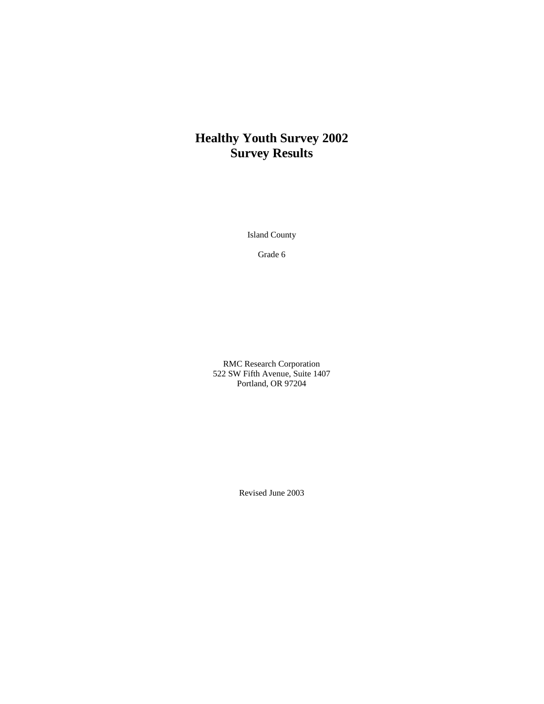# **Healthy Youth Survey 2002 Survey Results**

Island County

Grade 6

RMC Research Corporation 522 SW Fifth Avenue, Suite 1407 Portland, OR 97204

Revised June 2003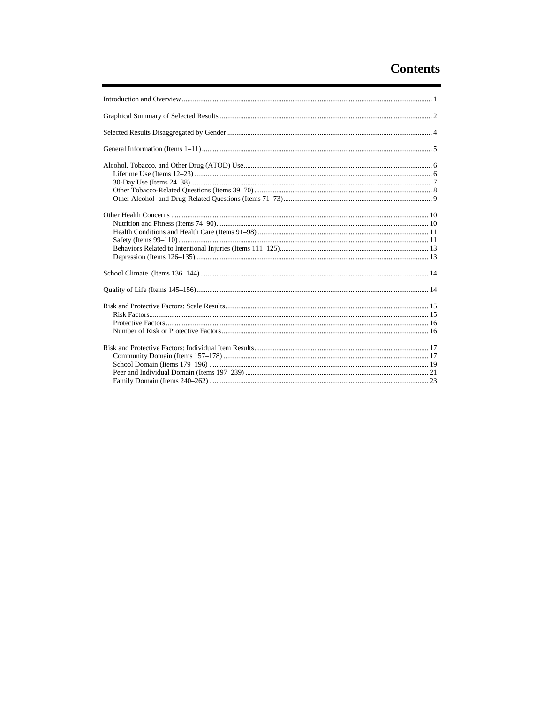# **Contents**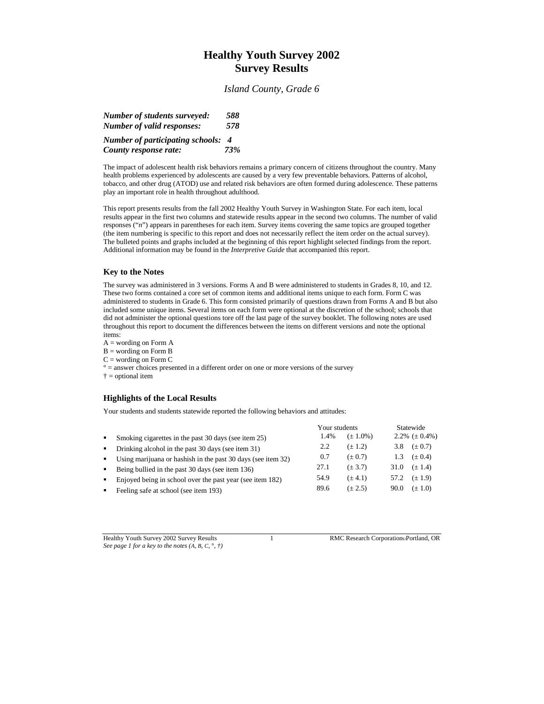## **Healthy Youth Survey 2002 Survey Results**

*Island County, Grade 6*

| Number of students surveyed:            | 588            |  |
|-----------------------------------------|----------------|--|
| Number of valid responses:              | 578            |  |
| <b>Number of participating schools:</b> | $\overline{4}$ |  |
| County response rate:                   | 73%            |  |

The impact of adolescent health risk behaviors remains a primary concern of citizens throughout the country. Many health problems experienced by adolescents are caused by a very few preventable behaviors. Patterns of alcohol, tobacco, and other drug (ATOD) use and related risk behaviors are often formed during adolescence. These patterns play an important role in health throughout adulthood.

This report presents results from the fall 2002 Healthy Youth Survey in Washington State. For each item, local results appear in the first two columns and statewide results appear in the second two columns. The number of valid responses ("*n*") appears in parentheses for each item. Survey items covering the same topics are grouped together (the item numbering is specific to this report and does not necessarily reflect the item order on the actual survey). The bulleted points and graphs included at the beginning of this report highlight selected findings from the report. Additional information may be found in the *Interpretive Guide* that accompanied this report.

### **Key to the Notes**

The survey was administered in 3 versions. Forms A and B were administered to students in Grades 8, 10, and 12. These two forms contained a core set of common items and additional items unique to each form. Form C was administered to students in Grade 6. This form consisted primarily of questions drawn from Forms A and B but also included some unique items. Several items on each form were optional at the discretion of the school; schools that did not administer the optional questions tore off the last page of the survey booklet. The following notes are used throughout this report to document the differences between the items on different versions and note the optional items:

 $A =$  wording on Form  $A$ 

B = wording on Form B

 $C =$  wording on Form  $C$ 

 $\degree$  = answer choices presented in a different order on one or more versions of the survey

† = optional item

### **Highlights of the Local Results**

Your students and students statewide reported the following behaviors and attitudes:

|                |                                                              |      | Your students |      | Statewide          |
|----------------|--------------------------------------------------------------|------|---------------|------|--------------------|
| $\blacksquare$ | Smoking cigarettes in the past 30 days (see item 25)         | 1.4% | $(\pm 1.0\%)$ |      | 2.2% $(\pm 0.4\%)$ |
| $\blacksquare$ | Drinking alcohol in the past 30 days (see item 31)           | 2.2  | $(\pm 1.2)$   | 3.8  | $(\pm 0.7)$        |
| $\blacksquare$ | Using marijuana or hashish in the past 30 days (see item 32) | 0.7  | $(\pm 0.7)$   | 1.3  | $(\pm 0.4)$        |
| $\blacksquare$ | Being bullied in the past 30 days (see item 136)             | 27.1 | $(\pm 3.7)$   | 31.0 | $(\pm 1.4)$        |
| $\blacksquare$ | Enjoyed being in school over the past year (see item 182)    | 54.9 | $(\pm 4.1)$   | 57.2 | $(\pm 1.9)$        |
| $\blacksquare$ | Feeling safe at school (see item 193)                        | 89.6 | $(\pm 2.5)$   | 90.0 | $(\pm 1.0)$        |

Healthy Youth Survey 2002 Survey Results 1 RMC Research CorporationPortland, OR *See page 1 for a key to the notes (A, B, C,* °*, †)*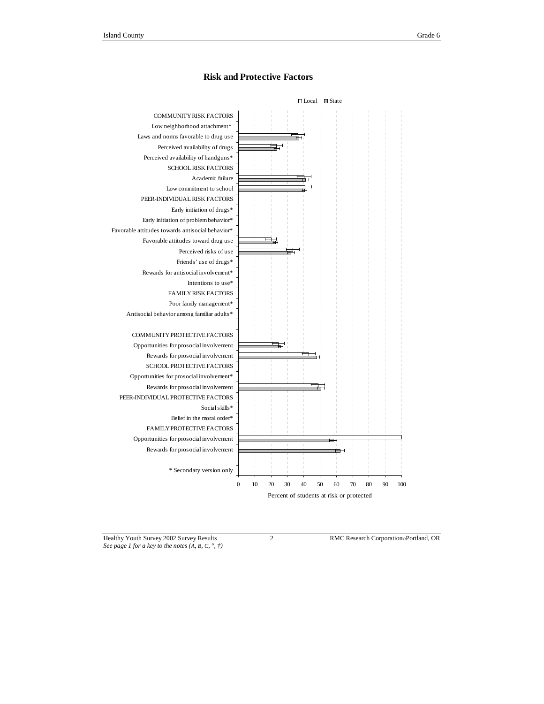

### **Risk and Protective Factors**

*See page 1 for a key to the notes (A, B, C,* °*, †)*

Healthy Youth Survey 2002 Survey Results 2 RMC Research Corporation Portland, OR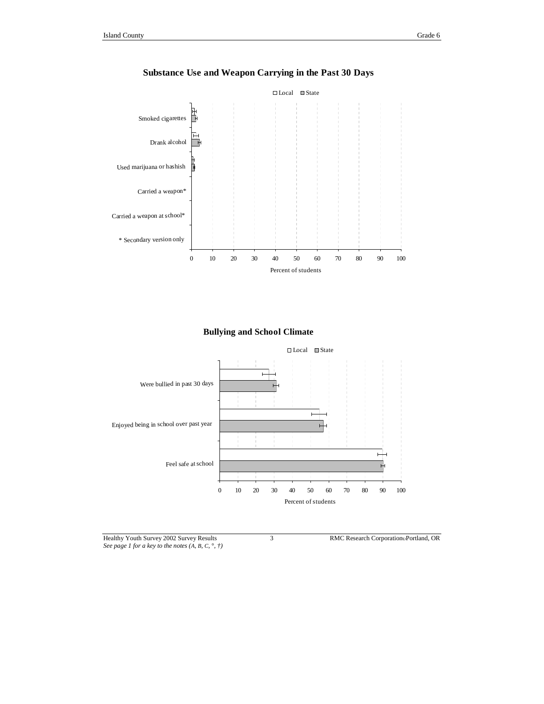



**Substance Use and Weapon Carrying in the Past 30 Days**





Healthy Youth Survey 2002 Survey Results 3 RMC Research Corporation Portland, OR *See page 1 for a key to the notes (A, B, C,* °*, †)*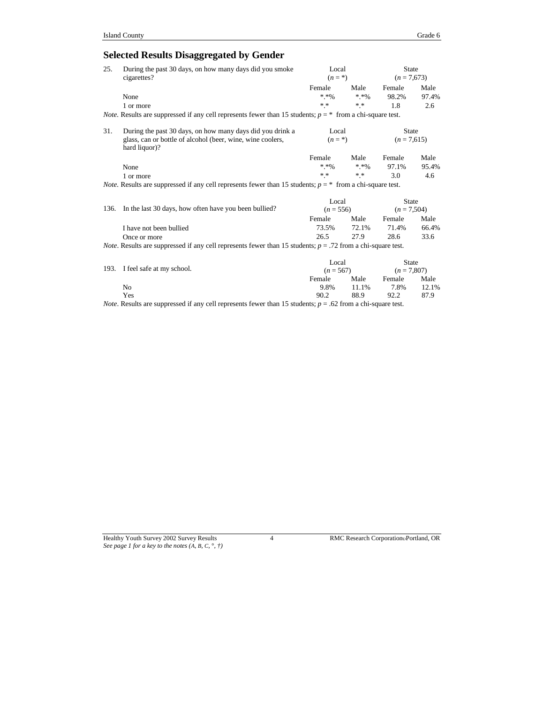## **Selected Results Disaggregated by Gender**

| 25.  | During the past 30 days, on how many days did you smoke<br>cigarettes?                                                | Local<br>$(n = \ast)$ |               | <b>State</b><br>$(n = 7,673)$ |       |  |  |
|------|-----------------------------------------------------------------------------------------------------------------------|-----------------------|---------------|-------------------------------|-------|--|--|
|      |                                                                                                                       | Female                | Male          | Female                        | Male  |  |  |
|      | None                                                                                                                  | $* * 9'_{0}$          | $* * 96$      | 98.2%                         | 97.4% |  |  |
|      | 1 or more                                                                                                             | $* *$                 | $\ast$ $\ast$ | 1.8                           | 2.6   |  |  |
|      | <i>Note</i> . Results are suppressed if any cell represents fewer than 15 students; $p = *$ from a chi-square test.   |                       |               |                               |       |  |  |
| 31.  | During the past 30 days, on how many days did you drink a                                                             | Local                 |               | <b>State</b>                  |       |  |  |
|      | glass, can or bottle of alcohol (beer, wine, wine coolers,<br>hard liquor)?                                           | $(n = \ast)$          |               | $(n = 7,615)$                 |       |  |  |
|      |                                                                                                                       | Female                | Male          | Female                        | Male  |  |  |
|      | None                                                                                                                  | $* * 96$              | $*$ * %       | 97.1%                         | 95.4% |  |  |
|      | 1 or more                                                                                                             | $\ast$ $\ast$         | $* *$         | 3.0                           | 4.6   |  |  |
|      | <i>Note</i> . Results are suppressed if any cell represents fewer than 15 students; $p = *$ from a chi-square test.   |                       |               |                               |       |  |  |
|      |                                                                                                                       | Local                 |               | <b>State</b>                  |       |  |  |
| 136. | In the last 30 days, how often have you been bullied?                                                                 | $(n = 556)$           |               | $(n = 7,504)$                 |       |  |  |
|      |                                                                                                                       | Female                | Male          | Female                        | Male  |  |  |
|      | I have not been bullied                                                                                               | 73.5%                 | 72.1%         | 71.4%                         | 66.4% |  |  |
|      | Once or more                                                                                                          | 26.5                  | 27.9          | 28.6                          | 33.6  |  |  |
|      | <i>Note</i> . Results are suppressed if any cell represents fewer than 15 students; $p = .72$ from a chi-square test. |                       |               |                               |       |  |  |
|      |                                                                                                                       | Local                 |               | <b>State</b>                  |       |  |  |
| 193. | I feel safe at my school.                                                                                             | $(n = 567)$           |               | $(n = 7,807)$                 |       |  |  |
|      |                                                                                                                       | Female                | Male          | Female                        | Male  |  |  |
|      | N <sub>o</sub>                                                                                                        | 9.8%                  | 11.1%         | 7.8%                          | 12.1% |  |  |
|      | Yes                                                                                                                   | 90.2                  | 88.9          | 92.2                          | 87.9  |  |  |

*Note*. Results are suppressed if any cell represents fewer than 15 students;  $p = .62$  from a chi-square test.

*See page 1 for a key to the notes (A, B, C,* °*, †)*

Healthy Youth Survey 2002 Survey Results 4 RMC Research CorporationPortland, OR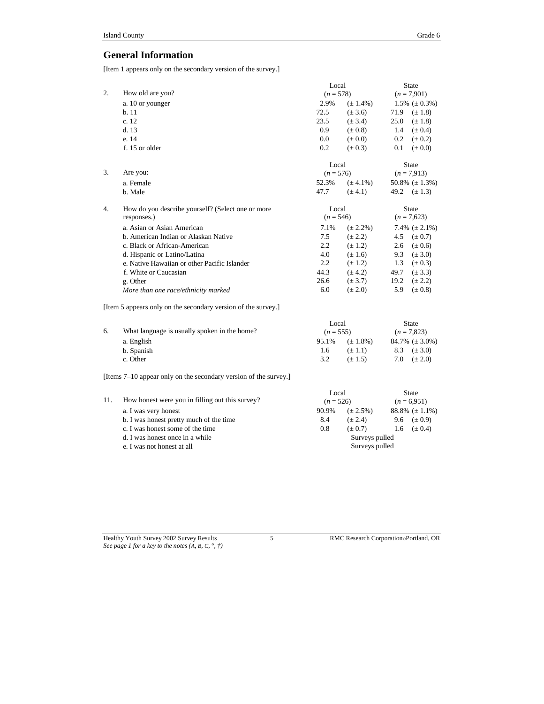### **General Information**

[Item 1 appears only on the secondary version of the survey.]

|    |                                                               | Local       |               | State         |                     |  |               |
|----|---------------------------------------------------------------|-------------|---------------|---------------|---------------------|--|---------------|
| 2. | How old are you?                                              | $(n = 578)$ |               |               |                     |  | $(n = 7,901)$ |
|    | a. 10 or younger                                              | 2.9%        | $(\pm 1.4\%)$ |               | 1.5% $(\pm 0.3\%)$  |  |               |
|    | b.11                                                          | 72.5        | $(\pm 3.6)$   |               | 71.9 $(\pm 1.8)$    |  |               |
|    | c. 12                                                         | 23.5        | $(\pm 3.4)$   | 25.0          | $(\pm 1.8)$         |  |               |
|    | d. 13                                                         | 0.9         | $(\pm 0.8)$   | 1.4           | $(\pm 0.4)$         |  |               |
|    | e. 14                                                         | 0.0         | $(\pm 0.0)$   | $0.2\,$       | $(\pm 0.2)$         |  |               |
|    | f. 15 or older                                                | 0.2         | $(\pm 0.3)$   | 0.1           | $(\pm 0.0)$         |  |               |
|    |                                                               | Local       |               |               | <b>State</b>        |  |               |
| 3. | Are you:                                                      | $(n = 576)$ |               |               | $(n = 7,913)$       |  |               |
|    | a. Female                                                     | 52.3%       | $(\pm 4.1\%)$ |               | 50.8% $(\pm 1.3\%)$ |  |               |
|    | b. Male                                                       | 47.7        | $(\pm 4.1)$   |               | 49.2 $(\pm 1.3)$    |  |               |
| 4. | How do you describe yourself? (Select one or more             | Local       |               |               | State               |  |               |
|    | responses.)                                                   | $(n = 546)$ |               | $(n = 7,623)$ |                     |  |               |
|    | a. Asian or Asian American                                    | 7.1%        | $(\pm 2.2\%)$ |               | 7.4% $(\pm 2.1\%)$  |  |               |
|    | b. American Indian or Alaskan Native                          | 7.5         | $(\pm 2.2)$   | 4.5           | $(\pm 0.7)$         |  |               |
|    | c. Black or African-American                                  | 2.2         | $(\pm 1.2)$   | 2.6           | $(\pm 0.6)$         |  |               |
|    | d. Hispanic or Latino/Latina                                  | 4.0         | $(\pm 1.6)$   | 9.3           | $(\pm 3.0)$         |  |               |
|    | e. Native Hawaiian or other Pacific Islander                  | 2.2         | $(\pm 1.2)$   | 1.3           | $(\pm 0.3)$         |  |               |
|    | f. White or Caucasian                                         | 44.3        | $(\pm 4.2)$   | 49.7          | $(\pm 3.3)$         |  |               |
|    | g. Other                                                      | 26.6        | $(\pm 3.7)$   | 19.2          | $(\pm 2.2)$         |  |               |
|    | More than one race/ethnicity marked                           | 6.0         | $(\pm 2.0)$   | 5.9           | $(\pm 0.8)$         |  |               |
|    | [Item 5 appears only on the secondary version of the survey.] |             |               |               |                     |  |               |
|    |                                                               | Local       |               |               | State               |  |               |
| 6. | What language is usually spoken in the home?                  | $(n = 555)$ |               |               | $(n = 7,823)$       |  |               |
|    | a. English                                                    | 95.1%       | $(\pm 1.8\%)$ |               | 84.7% $(\pm 3.0\%)$ |  |               |
|    | b. Spanish                                                    | 1.6         | $(\pm 1.1)$   | 8.3           | $(\pm 3.0)$         |  |               |
|    | c. Other                                                      | 3.2         | $(\pm 1.5)$   | 7.0           | $(\pm 2.0)$         |  |               |

[Items 7–10 appear only on the secondary version of the survey.]

|                                                 |                                  |               | <b>State</b>        |
|-------------------------------------------------|----------------------------------|---------------|---------------------|
| How honest were you in filling out this survey? | $(n = 526)$                      |               | $(n = 6.951)$       |
| a. I was very honest                            | 90.9%                            | $(\pm 2.5\%)$ | 88.8% $(\pm 1.1\%)$ |
| b. I was honest pretty much of the time         | 8.4                              | $(\pm 2.4)$   | 9.6 $(\pm 0.9)$     |
| c. I was honest some of the time                | 0.8                              | $(\pm 0.7)$   | $(\pm 0.4)$<br>1.6  |
| d. I was honest once in a while                 | Surveys pulled<br>Surveys pulled |               |                     |
| e. I was not honest at all                      |                                  |               |                     |
|                                                 |                                  |               | Local               |

*See page 1 for a key to the notes (A, B, C,* °*, †)*

Healthy Youth Survey 2002 Survey Results 5 8 RMC Research Corporation Portland, OR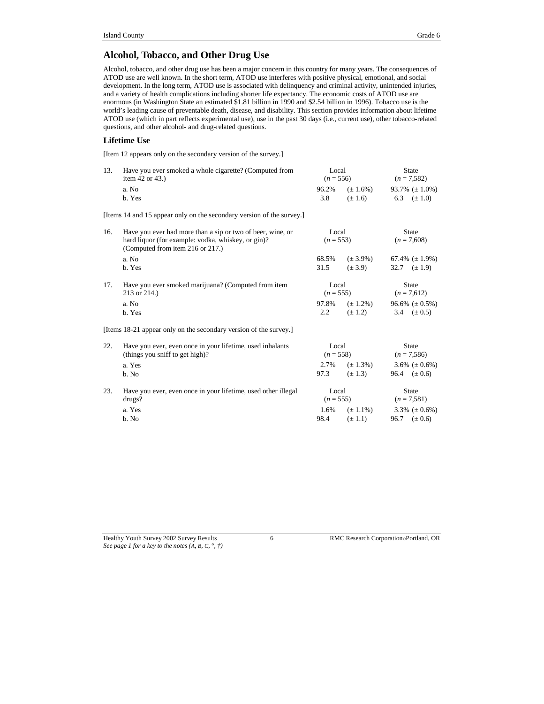### **Alcohol, Tobacco, and Other Drug Use**

Alcohol, tobacco, and other drug use has been a major concern in this country for many years. The consequences of ATOD use are well known. In the short term, ATOD use interferes with positive physical, emotional, and social development. In the long term, ATOD use is associated with delinquency and criminal activity, unintended injuries, and a variety of health complications including shorter life expectancy. The economic costs of ATOD use are enormous (in Washington State an estimated \$1.81 billion in 1990 and \$2.54 billion in 1996). Tobacco use is the world's leading cause of preventable death, disease, and disability. This section provides information about lifetime ATOD use (which in part reflects experimental use), use in the past 30 days (i.e., current use), other tobacco-related questions, and other alcohol- and drug-related questions.

### **Lifetime Use**

[Item 12 appears only on the secondary version of the survey.]

| 13. | Have you ever smoked a whole cigarette? (Computed from<br>Local<br>$(n = 556)$<br>item $42$ or $43$ .) |             |               | <b>State</b><br>$(n = 7,582)$ |                     |              |  |
|-----|--------------------------------------------------------------------------------------------------------|-------------|---------------|-------------------------------|---------------------|--------------|--|
|     | a. No                                                                                                  | 96.2%       | $(\pm 1.6\%)$ |                               | 93.7% $(\pm 1.0\%)$ |              |  |
|     | b. Yes                                                                                                 | 3.8         | $(\pm 1.6)$   |                               | 6.3 $(\pm 1.0)$     |              |  |
|     | [Items 14 and 15 appear only on the secondary version of the survey.]                                  |             |               |                               |                     |              |  |
| 16. | Have you ever had more than a sip or two of beer, wine, or                                             | Local       |               |                               | <b>State</b>        |              |  |
|     | hard liquor (for example: vodka, whiskey, or gin)?<br>(Computed from item 216 or 217.)                 | $(n = 553)$ |               |                               | $(n = 7,608)$       |              |  |
|     | a. No                                                                                                  | 68.5%       | $(\pm 3.9\%)$ |                               | 67.4% $(\pm 1.9\%)$ |              |  |
|     | b. Yes                                                                                                 | 31.5        | $(\pm 3.9)$   |                               | 32.7 $(\pm 1.9)$    |              |  |
| 17. | Have you ever smoked marijuana? (Computed from item                                                    | Local       |               |                               |                     | <b>State</b> |  |
|     | 213 or 214.)<br>$(n = 555)$                                                                            |             |               | $(n = 7,612)$                 |                     |              |  |
|     | a. No                                                                                                  | 97.8%       | $(\pm 1.2\%)$ |                               | 96.6% $(\pm 0.5\%)$ |              |  |
|     | b. Yes                                                                                                 | $2.2\,$     | $(\pm 1.2)$   |                               | 3.4 $(\pm 0.5)$     |              |  |
|     | [Items 18-21 appear only on the secondary version of the survey.]                                      |             |               |                               |                     |              |  |
| 22. | Have you ever, even once in your lifetime, used inhalants                                              | Local       |               |                               | <b>State</b>        |              |  |
|     | (things you sniff to get high)?                                                                        | $(n = 558)$ |               |                               | $(n = 7,586)$       |              |  |
|     | a. Yes                                                                                                 | 2.7%        | $(\pm 1.3\%)$ |                               | 3.6% $(\pm 0.6\%)$  |              |  |
|     | b. No                                                                                                  | 97.3        | $(\pm 1.3)$   |                               | 96.4 $(\pm 0.6)$    |              |  |
| 23. | Have you ever, even once in your lifetime, used other illegal                                          | Local       |               |                               | <b>State</b>        |              |  |
|     | drugs?                                                                                                 | $(n = 555)$ |               |                               | $(n = 7,581)$       |              |  |
|     | a. Yes                                                                                                 | 1.6%        | $(\pm 1.1\%)$ |                               | 3.3% $(\pm 0.6\%)$  |              |  |
|     | b. No                                                                                                  | 98.4        | $(\pm 1.1)$   |                               | 96.7 $(\pm 0.6)$    |              |  |

*See page 1 for a key to the notes (A, B, C,* °*, †)*

Healthy Youth Survey 2002 Survey Results 6 RMC Research Corporation Portland, OR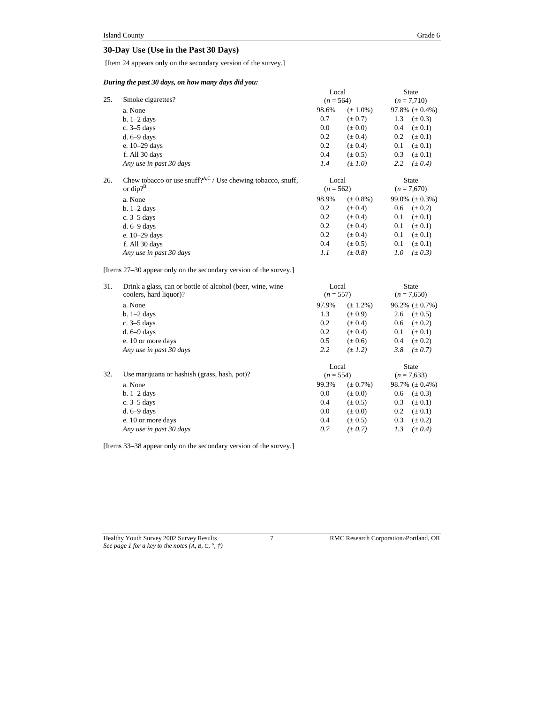### **30-Day Use (Use in the Past 30 Days)**

[Item 24 appears only on the secondary version of the survey.]

### *During the past 30 days, on how many days did you:*

|     |                                                                   |             | Local         |               | <b>State</b>        |
|-----|-------------------------------------------------------------------|-------------|---------------|---------------|---------------------|
| 25. | Smoke cigarettes?                                                 |             | $(n = 564)$   |               | $(n = 7,710)$       |
|     | a. None                                                           | 98.6%       | $(\pm 1.0\%)$ |               | 97.8% $(\pm 0.4\%)$ |
|     | $b. 1-2$ days                                                     | 0.7         | $(\pm 0.7)$   | 1.3           | $(\pm 0.3)$         |
|     | c. $3-5$ days                                                     | 0.0         | $(\pm 0.0)$   | 0.4           | $(\pm 0.1)$         |
|     | $d. 6-9$ days                                                     | 0.2         | $(\pm 0.4)$   | 0.2           | $(\pm 0.1)$         |
|     | e. 10-29 days                                                     | 0.2         | $(\pm 0.4)$   | 0.1           | $(\pm 0.1)$         |
|     | f. All 30 days                                                    | 0.4         | $(\pm 0.5)$   | 0.3           | $(\pm 0.1)$         |
|     | Any use in past 30 days                                           | 1.4         | $(\pm 1.0)$   | 2.2           | $(\pm 0.4)$         |
| 26. | Chew tobacco or use snuff? $A,C$ / Use chewing tobacco, snuff,    | Local       |               |               | State               |
|     | or dip? $B^B$                                                     | $(n = 562)$ |               |               | $(n = 7,670)$       |
|     | a. None                                                           | 98.9%       | $(\pm 0.8\%)$ |               | 99.0% $(\pm 0.3\%)$ |
|     | $b. 1-2$ days                                                     | 0.2         | $(\pm 0.4)$   | 0.6           | $(\pm 0.2)$         |
|     | c. $3-5$ days                                                     | 0.2         | $(\pm 0.4)$   | 0.1           | $(\pm 0.1)$         |
|     | $d. 6-9$ days                                                     | 0.2         | $(\pm 0.4)$   | 0.1           | $(\pm 0.1)$         |
|     | e. 10-29 days                                                     | 0.2         | $(\pm 0.4)$   | 0.1           | $(\pm 0.1)$         |
|     | f. All 30 days                                                    | 0.4         | $(\pm 0.5)$   | 0.1           | $(\pm 0.1)$         |
|     | Any use in past 30 days                                           | 1.1         | $(\pm 0.8)$   | 1.0           | $(\pm 0.3)$         |
|     | [Items 27–30 appear only on the secondary version of the survey.] |             |               |               |                     |
| 31. | Drink a glass, can or bottle of alcohol (beer, wine, wine         | Local       |               |               | <b>State</b>        |
|     | coolers, hard liquor)?                                            | $(n = 557)$ |               | $(n = 7,650)$ |                     |
|     | a. None                                                           | 97.9%       | $(\pm 1.2\%)$ |               | 96.2% $(\pm 0.7\%)$ |
|     | $b. 1-2$ days                                                     | 1.3         | $(\pm 0.9)$   | 2.6           | $(\pm 0.5)$         |
|     | c. $3-5$ days                                                     | 0.2         | $(\pm 0.4)$   | 0.6           | $(\pm 0.2)$         |
|     | $d. 6-9$ days                                                     | 0.2         | $(\pm 0.4)$   | 0.1           | $(\pm 0.1)$         |
|     | e. 10 or more days                                                | 0.5         | $(\pm 0.6)$   | 0.4           | $(\pm 0.2)$         |
|     | Any use in past 30 days                                           | 2.2         | $(\pm 1.2)$   | 3.8           | $(\pm 0.7)$         |
|     |                                                                   | Local       |               |               | <b>State</b>        |
| 32. | Use marijuana or hashish (grass, hash, pot)?                      | $(n = 554)$ |               |               | $(n = 7,633)$       |
|     | a. None                                                           | 99.3%       | $(\pm 0.7\%)$ |               | 98.7% $(\pm 0.4\%)$ |
|     | $b. 1-2$ days                                                     | 0.0         | $(\pm 0.0)$   | 0.6           | $(\pm 0.3)$         |
|     | c. $3-5$ days                                                     | 0.4         | $(\pm 0.5)$   | 0.3           | $(\pm 0.1)$         |

| a. None                 | 99.3% | $(\pm 0.7\%)$ | 98.7% $(\pm 0.4\%$ |
|-------------------------|-------|---------------|--------------------|
| $b. 1-2$ days           | 0.0   | $(\pm 0.0)$   | $(\pm 0.3)$<br>0.6 |
| c. $3-5$ days           | 0.4   | $(\pm 0.5)$   | $(\pm 0.1)$<br>0.3 |
| d. $6-9$ days           | 0.0   | $(\pm 0.0)$   | $(\pm 0.1)$<br>0.2 |
| e. 10 or more days      | 0.4   | $(\pm 0.5)$   | $(\pm 0.2)$<br>0.3 |
| Any use in past 30 days | 0.7   | $(\pm 0.7)$   | $(\pm 0.4)$<br>1.3 |

[Items 33–38 appear only on the secondary version of the survey.]

Healthy Youth Survey 2002 Survey Results 7 RMC Research Corporation Portland, OR *See page 1 for a key to the notes (A, B, C,* °*, †)*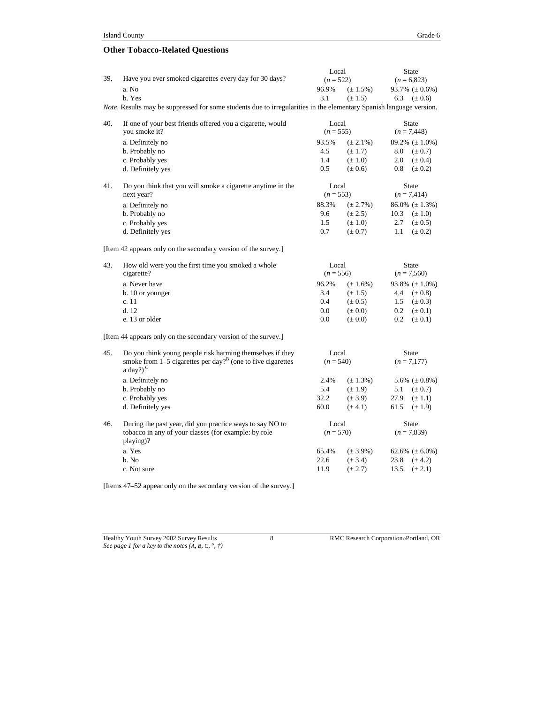### **Other Tobacco-Related Questions**

| 39. | Have you ever smoked cigarettes every day for 30 days?                                                                     | Local<br>$(n = 522)$ |                      |               | <b>State</b><br>$(n = 6,823)$ |
|-----|----------------------------------------------------------------------------------------------------------------------------|----------------------|----------------------|---------------|-------------------------------|
|     | a. No                                                                                                                      | 96.9%                | $(\pm 1.5\%)$        |               | 93.7% $(\pm 0.6\%)$           |
|     | b. Yes                                                                                                                     | 3.1                  | $(\pm 1.5)$          | 6.3           | $(\pm 0.6)$                   |
|     | <i>Note.</i> Results may be suppressed for some students due to irregularities in the elementary Spanish language version. |                      |                      |               |                               |
| 40. | If one of your best friends offered you a cigarette, would<br>you smoke it?                                                |                      | Local<br>$(n = 555)$ |               | <b>State</b><br>$(n = 7,448)$ |
|     | a. Definitely no                                                                                                           | 93.5%                | $(\pm 2.1\%)$        |               | 89.2% $(\pm 1.0\%)$           |
|     | b. Probably no                                                                                                             | 4.5                  | $(\pm 1.7)$          | 8.0           | $(\pm 0.7)$                   |
|     | c. Probably yes                                                                                                            | 1.4                  | $(\pm 1.0)$          | 2.0           | $(\pm 0.4)$                   |
|     | d. Definitely yes                                                                                                          | 0.5                  | $(\pm 0.6)$          | 0.8           | $(\pm 0.2)$                   |
| 41. | Do you think that you will smoke a cigarette anytime in the<br>next year?                                                  | Local<br>$(n = 553)$ |                      |               | State<br>$(n = 7,414)$        |
|     | a. Definitely no                                                                                                           | 88.3%                | $(\pm 2.7\%)$        |               | $86.0\%~(\pm 1.3\%)$          |
|     | b. Probably no                                                                                                             | 9.6                  | $(\pm 2.5)$          | 10.3          | $(\pm 1.0)$                   |
|     | c. Probably yes                                                                                                            | 1.5                  | $(\pm 1.0)$          | 2.7           | $(\pm 0.5)$                   |
|     | d. Definitely yes                                                                                                          | 0.7                  | $(\pm 0.7)$          | 1.1           | $(\pm 0.2)$                   |
|     | [Item 42 appears only on the secondary version of the survey.]                                                             |                      |                      |               |                               |
| 43. | How old were you the first time you smoked a whole                                                                         | Local                |                      |               | <b>State</b>                  |
|     | cigarette?                                                                                                                 | $(n = 556)$          |                      | $(n = 7,560)$ |                               |
|     | a. Never have                                                                                                              | 96.2%                | $(\pm 1.6\%)$        |               | 93.8% $(\pm 1.0\%)$           |
|     | b. 10 or younger                                                                                                           | 3.4                  | $(\pm 1.5)$          | 4.4           | $(\pm 0.8)$                   |
|     | c. 11                                                                                                                      | 0.4                  | $(\pm 0.5)$          | 1.5           | $(\pm 0.3)$                   |
|     | d.12                                                                                                                       | 0.0                  | $(\pm 0.0)$          | 0.2           | $(\pm 0.1)$                   |
|     | e. 13 or older                                                                                                             | 0.0                  | $(\pm 0.0)$          | 0.2           | $(\pm 0.1)$                   |
|     | [Item 44 appears only on the secondary version of the survey.]                                                             |                      |                      |               |                               |
| 45. | Do you think young people risk harming themselves if they                                                                  | Local                |                      |               | <b>State</b>                  |
|     | smoke from $1-5$ cigarettes per day? <sup>B</sup> (one to five cigarettes<br>a day?) $^{\circ}$                            | $(n = 540)$          |                      |               | $(n = 7,177)$                 |
|     | a. Definitely no                                                                                                           | 2.4%                 | $(\pm 1.3\%)$        |               | 5.6% $(\pm 0.8\%)$            |
|     | b. Probably no                                                                                                             | 5.4                  | $(\pm 1.9)$          | 5.1           | $(\pm 0.7)$                   |
|     | c. Probably yes                                                                                                            | 32.2                 | $(\pm 3.9)$          | 27.9          | $(\pm 1.1)$                   |
|     | d. Definitely yes                                                                                                          | 60.0                 | $(\pm 4.1)$          | 61.5          | $(\pm 1.9)$                   |
| 46. | During the past year, did you practice ways to say NO to                                                                   | Local                |                      |               | State                         |
|     | tobacco in any of your classes (for example: by role<br>playing)?                                                          | $(n = 570)$          |                      |               | $(n = 7,839)$                 |
|     | a. Yes                                                                                                                     | 65.4%                | $(\pm 3.9\%)$        |               | 62.6% $(\pm 6.0\%)$           |
|     | b. No                                                                                                                      | 22.6                 | $(\pm 3.4)$          | 23.8          | $(\pm 4.2)$                   |
|     | c. Not sure                                                                                                                | 11.9                 | $(\pm 2.7)$          | 13.5          | $(\pm 2.1)$                   |

[Items 47–52 appear only on the secondary version of the survey.]

*See page 1 for a key to the notes (A, B, C,* °*, †)*

Healthy Youth Survey 2002 Survey Results 8 8 RMC Research Corporation Portland, OR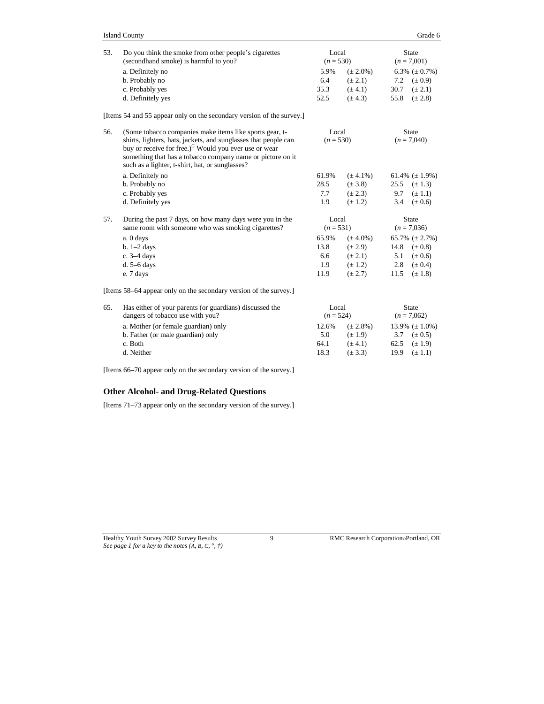| 53. | Do you think the smoke from other people's cigarettes                                                                                                                                                                                                 | Local                |               |                     | <b>State</b>                  |
|-----|-------------------------------------------------------------------------------------------------------------------------------------------------------------------------------------------------------------------------------------------------------|----------------------|---------------|---------------------|-------------------------------|
|     | (secondhand smoke) is harmful to you?                                                                                                                                                                                                                 | $(n = 530)$          |               |                     | $(n = 7,001)$                 |
|     | a. Definitely no                                                                                                                                                                                                                                      | 5.9%                 | $(\pm 2.0\%)$ |                     | 6.3% $(\pm 0.7\%)$            |
|     | b. Probably no                                                                                                                                                                                                                                        | 6.4                  | $(\pm 2.1)$   | 7.2                 | $(\pm 0.9)$                   |
|     | c. Probably yes                                                                                                                                                                                                                                       | 35.3                 | $(\pm 4.1)$   | 30.7                | $(\pm 2.1)$                   |
|     | d. Definitely yes                                                                                                                                                                                                                                     | 52.5                 | $(\pm 4.3)$   | 55.8                | $(\pm 2.8)$                   |
|     | [Items 54 and 55 appear only on the secondary version of the survey.]                                                                                                                                                                                 |                      |               |                     |                               |
| 56. | (Some tobacco companies make items like sports gear, t-<br>Local                                                                                                                                                                                      |                      |               |                     | <b>State</b>                  |
|     | shirts, lighters, hats, jackets, and sunglasses that people can<br>buy or receive for free.) <sup>C</sup> Would you ever use or wear<br>something that has a tobacco company name or picture on it<br>such as a lighter, t-shirt, hat, or sunglasses? | $(n = 530)$          |               |                     | $(n = 7,040)$                 |
|     | a. Definitely no                                                                                                                                                                                                                                      | 61.9%                | $(\pm 4.1\%)$ |                     | 61.4% $(\pm 1.9\%)$           |
|     | b. Probably no                                                                                                                                                                                                                                        | 28.5                 | $(\pm 3.8)$   | 25.5                | $(\pm 1.3)$                   |
|     | c. Probably yes                                                                                                                                                                                                                                       | 7.7                  | $(\pm 2.3)$   | 9.7                 | $(\pm 1.1)$                   |
|     | d. Definitely yes                                                                                                                                                                                                                                     | 1.9                  | $(\pm 1.2)$   | 3.4                 | $(\pm 0.6)$                   |
| 57. | During the past 7 days, on how many days were you in the<br>same room with someone who was smoking cigarettes?                                                                                                                                        | Local<br>$(n = 531)$ |               |                     | <b>State</b><br>$(n = 7.036)$ |
|     |                                                                                                                                                                                                                                                       | 65.9%                | $(\pm 4.0\%)$ | 65.7% $(\pm 2.7\%)$ |                               |
|     | a. 0 days<br>$b. 1-2$ days                                                                                                                                                                                                                            | 13.8                 | $(\pm 2.9)$   | 14.8                | $(\pm 0.8)$                   |
|     | c. 3-4 days                                                                                                                                                                                                                                           | 6.6                  | $(\pm 2.1)$   | 5.1                 | $(\pm 0.6)$                   |
|     | d. $5-6$ days                                                                                                                                                                                                                                         | 1.9                  | $(\pm 1.2)$   | 2.8                 | $(\pm 0.4)$                   |
|     | e. 7 days                                                                                                                                                                                                                                             | 11.9                 | $(\pm 2.7)$   | 11.5                | $(\pm 1.8)$                   |
|     | [Items 58–64 appear only on the secondary version of the survey.]                                                                                                                                                                                     |                      |               |                     |                               |
| 65. | Has either of your parents (or guardians) discussed the<br>dangers of tobacco use with you?                                                                                                                                                           | Local<br>$(n = 524)$ |               |                     | <b>State</b><br>$(n = 7,062)$ |
|     |                                                                                                                                                                                                                                                       |                      |               |                     |                               |
|     | a. Mother (or female guardian) only                                                                                                                                                                                                                   | 12.6%                | $(\pm 2.8\%)$ |                     | 13.9% $(\pm 1.0\%)$           |
|     | b. Father (or male guardian) only                                                                                                                                                                                                                     | 5.0                  | $(\pm 1.9)$   | 3.7                 | $(\pm 0.5)$                   |

c. Both 64.1 ( $\pm$  4.1) 62.5 ( $\pm$  1.9)<br>d. Neither 18.3 ( $\pm$  3.3) 19.9 ( $\pm$  1.1)  $(\pm 3.3)$  19.9  $(\pm 1.1)$ 

[Items 66–70 appear only on the secondary version of the survey.]

### **Other Alcohol- and Drug-Related Questions**

[Items 71–73 appear only on the secondary version of the survey.]

Healthy Youth Survey 2002 Survey Results 9 RMC Research Corporation Portland, OR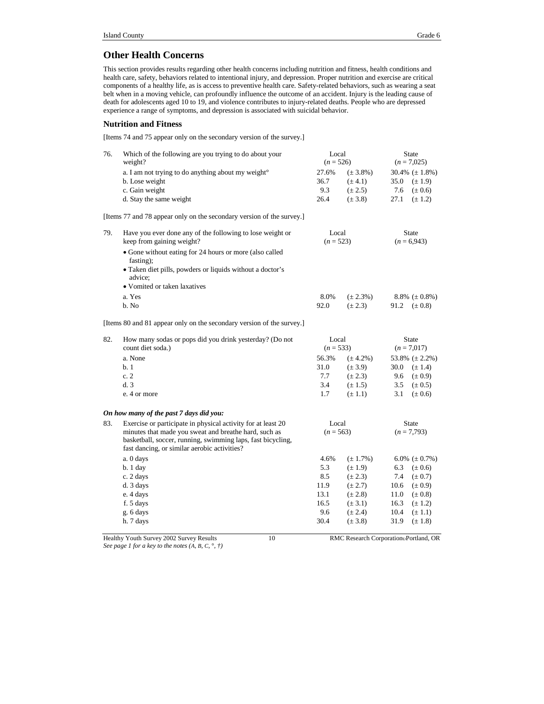### **Other Health Concerns**

This section provides results regarding other health concerns including nutrition and fitness, health conditions and health care, safety, behaviors related to intentional injury, and depression. Proper nutrition and exercise are critical components of a healthy life, as is access to preventive health care. Safety-related behaviors, such as wearing a seat belt when in a moving vehicle, can profoundly influence the outcome of an accident. Injury is the leading cause of death for adolescents aged 10 to 19, and violence contributes to injury-related deaths. People who are depressed experience a range of symptoms, and depression is associated with suicidal behavior.

### **Nutrition and Fitness**

[Items 74 and 75 appear only on the secondary version of the survey.]

| 76. | Which of the following are you trying to do about your<br>weight?                                                    | Local<br><b>State</b><br>$(n = 526)$<br>$(n = 7,025)$ |               |                                       |
|-----|----------------------------------------------------------------------------------------------------------------------|-------------------------------------------------------|---------------|---------------------------------------|
|     | a. I am not trying to do anything about my weight <sup>o</sup>                                                       | 27.6%                                                 | $(\pm 3.8\%)$ | 30.4% $(\pm 1.8\%)$                   |
|     | b. Lose weight                                                                                                       | 36.7                                                  | $(\pm 4.1)$   | 35.0<br>$(\pm 1.9)$                   |
|     | c. Gain weight                                                                                                       | 9.3                                                   | $(\pm 2.5)$   | 7.6<br>$(\pm 0.6)$                    |
|     | d. Stay the same weight                                                                                              | 26.4                                                  | $(\pm 3.8)$   | 27.1<br>$(\pm 1.2)$                   |
|     | [Items 77 and 78 appear only on the secondary version of the survey.]                                                |                                                       |               |                                       |
| 79. | Have you ever done any of the following to lose weight or                                                            |                                                       | Local         | <b>State</b>                          |
|     | keep from gaining weight?                                                                                            |                                                       | $(n = 523)$   | $(n = 6,943)$                         |
|     | • Gone without eating for 24 hours or more (also called<br>fasting);                                                 |                                                       |               |                                       |
|     | • Taken diet pills, powders or liquids without a doctor's<br>advice;                                                 |                                                       |               |                                       |
|     | • Vomited or taken laxatives                                                                                         |                                                       |               |                                       |
|     | a. Yes                                                                                                               | 8.0%                                                  | $(\pm 2.3\%)$ | $8.8\%~(\pm 0.8\%)$                   |
|     | b. No                                                                                                                | 92.0                                                  | $(\pm 2.3)$   | 91.2<br>$(\pm 0.8)$                   |
|     | [Items 80 and 81 appear only on the secondary version of the survey.]                                                |                                                       |               |                                       |
| 82. | How many sodas or pops did you drink yesterday? (Do not                                                              |                                                       | Local         | <b>State</b>                          |
|     | count diet soda.)                                                                                                    |                                                       | $(n = 533)$   | $(n = 7.017)$                         |
|     | a. None                                                                                                              | 56.3%                                                 | $(\pm 4.2\%)$ | 53.8% $(\pm 2.2\%)$                   |
|     | b.1                                                                                                                  | 31.0                                                  | $(\pm 3.9)$   | 30.0<br>$(\pm 1.4)$                   |
|     | c.2                                                                                                                  | 7.7                                                   | $(\pm 2.3)$   | 9.6<br>$(\pm 0.9)$                    |
|     | d.3                                                                                                                  | 3.4                                                   | $(\pm 1.5)$   | 3.5<br>$(\pm 0.5)$                    |
|     | e. 4 or more                                                                                                         | 1.7                                                   | $(\pm 1.1)$   | 3.1<br>$(\pm 0.6)$                    |
|     | On how many of the past 7 days did you:                                                                              |                                                       |               |                                       |
| 83. | Exercise or participate in physical activity for at least 20                                                         |                                                       | Local         | <b>State</b>                          |
|     | minutes that made you sweat and breathe hard, such as<br>basketball, soccer, running, swimming laps, fast bicycling, |                                                       | $(n = 563)$   | $(n = 7,793)$                         |
|     | fast dancing, or similar aerobic activities?                                                                         |                                                       |               |                                       |
|     | a. 0 days                                                                                                            | 4.6%                                                  | $(\pm 1.7\%)$ | 6.0% $(\pm 0.7\%)$                    |
|     | $b.1$ day                                                                                                            | 5.3                                                   | $(\pm 1.9)$   | 6.3<br>$(\pm 0.6)$                    |
|     | c. 2 days                                                                                                            | 8.5                                                   | $(\pm 2.3)$   | 7.4<br>$(\pm 0.7)$                    |
|     | d. 3 days                                                                                                            | 11.9                                                  | $(\pm 2.7)$   | 10.6<br>$(\pm 0.9)$                   |
|     | e. 4 days                                                                                                            | 13.1                                                  | $(\pm 2.8)$   | 11.0<br>$(\pm 0.8)$                   |
|     | f. 5 days                                                                                                            | 16.5                                                  | $(\pm 3.1)$   | 16.3<br>$(\pm 1.2)$                   |
|     | g. 6 days                                                                                                            | 9.6                                                   | $(\pm 2.4)$   | 10.4<br>$(\pm 1.1)$                   |
|     | h. 7 days                                                                                                            | 30.4                                                  | $(\pm 3.8)$   | 31.9<br>$(\pm 1.8)$                   |
|     | Healthy Youth Survey 2002 Survey Results<br>10                                                                       |                                                       |               | RMC Research CorporationoPortland, OR |

*See page 1 for a key to the notes (A, B, C,* °*, †)*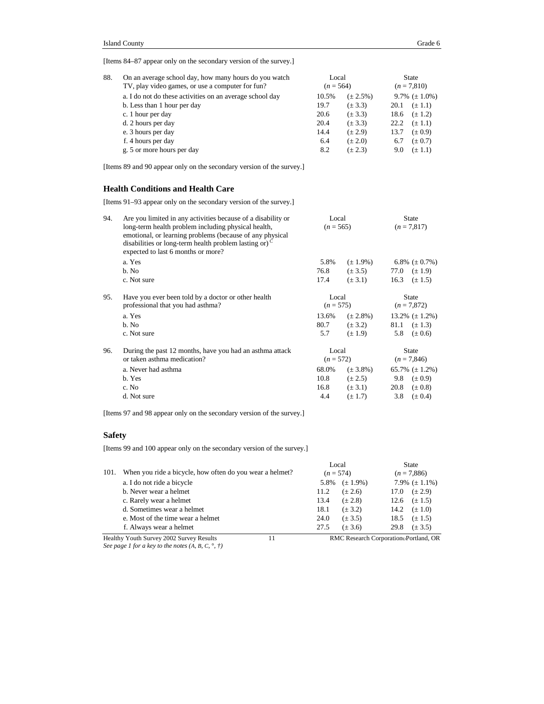[Items 84–87 appear only on the secondary version of the survey.]

| 88. | On an average school day, how many hours do you watch<br>TV, play video games, or use a computer for fun? | Local<br>$(n = 564)$ |               | State<br>$(n = 7,810)$ |                    |
|-----|-----------------------------------------------------------------------------------------------------------|----------------------|---------------|------------------------|--------------------|
|     | a. I do not do these activities on an average school day                                                  | 10.5%                | $(\pm 2.5\%)$ |                        | 9.7% $(\pm 1.0\%)$ |
|     | b. Less than 1 hour per day                                                                               | 19.7                 | $(\pm 3.3)$   | 20.1                   | $(\pm 1.1)$        |
|     | c. 1 hour per day                                                                                         | 20.6                 | $(\pm 3.3)$   | 18.6                   | $(\pm 1.2)$        |
|     | d. 2 hours per day                                                                                        | 20.4                 | $(\pm 3.3)$   | 22.2                   | $(\pm 1.1)$        |
|     | e. 3 hours per day                                                                                        | 14.4                 | $(\pm 2.9)$   | 13.7                   | $(\pm 0.9)$        |
|     | f. 4 hours per day                                                                                        | 6.4                  | $(\pm 2.0)$   | 6.7                    | $(\pm 0.7)$        |
|     | g. 5 or more hours per day                                                                                | 8.2                  | $(\pm 2.3)$   | 9.0                    | $(\pm 1.1)$        |
|     |                                                                                                           |                      |               |                        |                    |

[Items 89 and 90 appear only on the secondary version of the survey.]

### **Health Conditions and Health Care**

[Items 91–93 appear only on the secondary version of the survey.]

| 94. | Are you limited in any activities because of a disability or<br>long-term health problem including physical health,<br>emotional, or learning problems (because of any physical<br>disabilities or long-term health problem lasting or) <sup>C</sup><br>expected to last 6 months or more? | Local<br>$(n = 565)$ |                                                       | <b>State</b><br>$(n = 7,817)$ |             |
|-----|--------------------------------------------------------------------------------------------------------------------------------------------------------------------------------------------------------------------------------------------------------------------------------------------|----------------------|-------------------------------------------------------|-------------------------------|-------------|
|     | a. Yes                                                                                                                                                                                                                                                                                     | 5.8%                 | $(\pm 1.9\%)$                                         | 6.8% $(\pm 0.7\%)$            |             |
|     | b. No                                                                                                                                                                                                                                                                                      | 76.8                 | $(\pm 3.5)$                                           | 77.0 $(\pm 1.9)$              |             |
|     | c. Not sure                                                                                                                                                                                                                                                                                | 17.4                 | $(\pm 3.1)$                                           | 16.3                          | $(\pm 1.5)$ |
| 95. | Have you ever been told by a doctor or other health<br>professional that you had asthma?                                                                                                                                                                                                   |                      | Local<br><b>State</b><br>$(n = 575)$<br>$(n = 7,872)$ |                               |             |
|     | a. Yes                                                                                                                                                                                                                                                                                     | 13.6%                | $(\pm 2.8\%)$                                         | $13.2\%~(\pm 1.2\%)$          |             |
|     | b. No                                                                                                                                                                                                                                                                                      | 80.7                 | $(\pm 3.2)$                                           | 81.1 $(\pm 1.3)$              |             |
|     | c. Not sure                                                                                                                                                                                                                                                                                | 5.7                  | $(\pm 1.9)$                                           | 5.8                           | $(\pm 0.6)$ |
| 96. | During the past 12 months, have you had an asthma attack<br>or taken asthma medication?                                                                                                                                                                                                    | Local                | $(n = 572)$                                           | <b>State</b><br>$(n = 7,846)$ |             |
|     | a. Never had asthma                                                                                                                                                                                                                                                                        | 68.0%                | $(\pm 3.8\%)$                                         | 65.7% $(\pm 1.2\%)$           |             |
|     | b. Yes                                                                                                                                                                                                                                                                                     | 10.8                 | $(\pm 2.5)$                                           | 9.8                           | $(\pm 0.9)$ |
|     | c. No                                                                                                                                                                                                                                                                                      | 16.8                 | $(\pm 3.1)$                                           | 20.8                          | $(\pm 0.8)$ |
|     | d. Not sure                                                                                                                                                                                                                                                                                | 4.4                  | $(\pm 1.7)$                                           | 3.8                           | $(\pm 0.4)$ |
|     |                                                                                                                                                                                                                                                                                            |                      |                                                       |                               |             |

[Items 97 and 98 appear only on the secondary version of the survey.]

### **Safety**

[Items 99 and 100 appear only on the secondary version of the survey.]

|      |                                                          |      | Local         | State                                 |                    |  |
|------|----------------------------------------------------------|------|---------------|---------------------------------------|--------------------|--|
| 101. | When you ride a bicycle, how often do you wear a helmet? |      | $(n = 574)$   | $(n = 7,886)$                         |                    |  |
|      | a. I do not ride a bicycle                               | 5.8% | $(\pm 1.9\%)$ |                                       | 7.9% $(\pm 1.1\%)$ |  |
|      | b. Never wear a helmet                                   | 11.2 | $(\pm 2.6)$   | 17.0 $(\pm 2.9)$                      |                    |  |
|      | c. Rarely wear a helmet                                  | 13.4 | $(\pm 2.8)$   | 12.6 $(\pm 1.5)$                      |                    |  |
|      | d. Sometimes wear a helmet                               | 18.1 | $(\pm 3.2)$   | 14.2 $(\pm 1.0)$                      |                    |  |
|      | e. Most of the time wear a helmet                        | 24.0 | $(\pm 3.5)$   | 18.5                                  | $(\pm 1.5)$        |  |
|      | f. Always wear a helmet                                  | 27.5 | $(\pm 3.6)$   | 29.8                                  | $(\pm 3.5)$        |  |
|      | Healthy Youth Survey 2002 Survey Results<br>11           |      |               | RMC Research Corporation Portland, OR |                    |  |

*See page 1 for a key to the notes (A, B, C,* °*, †)*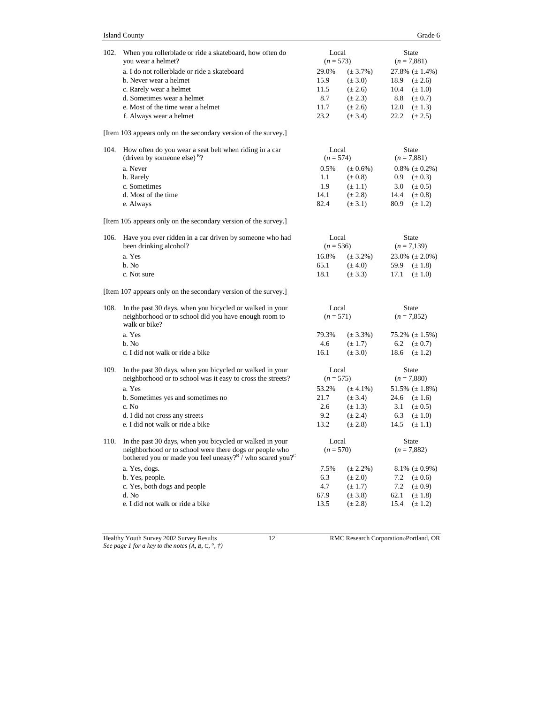| 102. | When you rollerblade or ride a skateboard, how often do<br>you wear a helmet?                                                               | Local<br>$(n = 573)$ |               |      | State<br>$(n = 7,881)$ |
|------|---------------------------------------------------------------------------------------------------------------------------------------------|----------------------|---------------|------|------------------------|
|      | a. I do not rollerblade or ride a skateboard                                                                                                | 29.0%                | $(\pm 3.7\%)$ |      | 27.8% $(\pm 1.4\%)$    |
|      | b. Never wear a helmet                                                                                                                      | 15.9                 | $(\pm 3.0)$   | 18.9 | $(\pm 2.6)$            |
|      | c. Rarely wear a helmet                                                                                                                     | 11.5                 | $(\pm 2.6)$   | 10.4 | $(\pm 1.0)$            |
|      | d. Sometimes wear a helmet                                                                                                                  | 8.7                  | $(\pm 2.3)$   | 8.8  | $(\pm 0.7)$            |
|      | e. Most of the time wear a helmet                                                                                                           | 11.7                 | $(\pm 2.6)$   | 12.0 | $(\pm 1.3)$            |
|      | f. Always wear a helmet                                                                                                                     | 23.2                 | $(\pm 3.4)$   | 22.2 | $(\pm 2.5)$            |
|      | [Item 103 appears only on the secondary version of the survey.]                                                                             |                      |               |      |                        |
| 104. | How often do you wear a seat belt when riding in a car                                                                                      | Local                |               |      | State                  |
|      | (driven by someone else) <sup>B</sup> ?                                                                                                     | $(n = 574)$          |               |      | $(n = 7,881)$          |
|      | a. Never                                                                                                                                    | 0.5%                 | $(\pm 0.6\%)$ |      | $0.8\%~(\pm 0.2\%)$    |
|      | b. Rarely                                                                                                                                   | 1.1                  | $(\pm 0.8)$   | 0.9  | $(\pm 0.3)$            |
|      | c. Sometimes                                                                                                                                | 1.9                  | $(\pm 1.1)$   | 3.0  | $(\pm 0.5)$            |
|      | d. Most of the time                                                                                                                         | 14.1                 | $(\pm 2.8)$   | 14.4 | $(\pm 0.8)$            |
|      | e. Always                                                                                                                                   | 82.4                 | $(\pm 3.1)$   | 80.9 | $(\pm 1.2)$            |
|      | [Item 105 appears only on the secondary version of the survey.]                                                                             |                      |               |      |                        |
| 106. | Have you ever ridden in a car driven by someone who had                                                                                     | Local                |               |      | <b>State</b>           |
|      | been drinking alcohol?                                                                                                                      | $(n = 536)$          |               |      | $(n = 7,139)$          |
|      | a. Yes                                                                                                                                      | 16.8%                | $(\pm 3.2\%)$ |      | $23.0\%~(\pm 2.0\%)$   |
|      | h. No                                                                                                                                       | 65.1                 | $(\pm 4.0)$   | 59.9 | $(\pm 1.8)$            |
|      | c. Not sure                                                                                                                                 | 18.1                 | $(\pm 3.3)$   | 17.1 | $(\pm 1.0)$            |
|      | [Item 107 appears only on the secondary version of the survey.]                                                                             |                      |               |      |                        |
| 108. | In the past 30 days, when you bicycled or walked in your                                                                                    | Local                |               |      | State                  |
|      | neighborhood or to school did you have enough room to<br>walk or bike?                                                                      | $(n = 571)$          |               |      | $(n = 7,852)$          |
|      | a. Yes                                                                                                                                      | 79.3%                | $(\pm 3.3\%)$ |      | $75.2\%~(\pm 1.5\%)$   |
|      | b. No                                                                                                                                       | 4.6                  | $(\pm 1.7)$   | 6.2  | $(\pm 0.7)$            |
|      | c. I did not walk or ride a bike                                                                                                            | 16.1                 | $(\pm 3.0)$   | 18.6 | $(\pm 1.2)$            |
| 109. | In the past 30 days, when you bicycled or walked in your                                                                                    | Local                |               |      | <b>State</b>           |
|      | neighborhood or to school was it easy to cross the streets?                                                                                 | $(n = 575)$          |               |      | $(n = 7,880)$          |
|      | a. Yes                                                                                                                                      | 53.2%                | $(\pm 4.1\%)$ |      | 51.5% $(\pm 1.8\%)$    |
|      | b. Sometimes yes and sometimes no                                                                                                           | 21.7                 | $(\pm 3.4)$   |      | 24.6 $(\pm 1.6)$       |
|      | c. No                                                                                                                                       | 2.6                  | $(\pm 1.3)$   | 3.1  | $(\pm 0.5)$            |
|      | d. I did not cross any streets                                                                                                              | 9.2                  | $(\pm 2.4)$   | 6.3  | $(\pm 1.0)$            |
|      | e. I did not walk or ride a bike                                                                                                            | 13.2                 | $(\pm 2.8)$   | 14.5 | $(\pm 1.1)$            |
| 110. | In the past 30 days, when you bicycled or walked in your                                                                                    | Local                |               |      | State                  |
|      | neighborhood or to school were there dogs or people who<br>bothered you or made you feel uneasy? <sup>B</sup> /who scared you? <sup>C</sup> | $(n = 570)$          |               |      | $(n = 7,882)$          |
|      | a. Yes, dogs.                                                                                                                               | 7.5%                 | $(\pm 2.2\%)$ |      | 8.1% $(\pm 0.9\%)$     |
|      | b. Yes, people.                                                                                                                             | 6.3                  | $(\pm 2.0)$   | 7.2  | $(\pm 0.6)$            |
|      | c. Yes, both dogs and people                                                                                                                | 4.7                  | $(\pm 1.7)$   | 7.2  | $(\pm 0.9)$            |
|      | d. No                                                                                                                                       | 67.9                 | $(\pm 3.8)$   | 62.1 | $(\pm 1.8)$            |
|      | e. I did not walk or ride a bike                                                                                                            | 13.5                 | $(\pm 2.8)$   | 15.4 | $(\pm 1.2)$            |
|      |                                                                                                                                             |                      |               |      |                        |
|      |                                                                                                                                             |                      |               |      |                        |

Healthy Youth Survey 2002 Survey Results 12 RMC Research CorporationPortland, OR *See page 1 for a key to the notes (A, B, C,* °*, †)*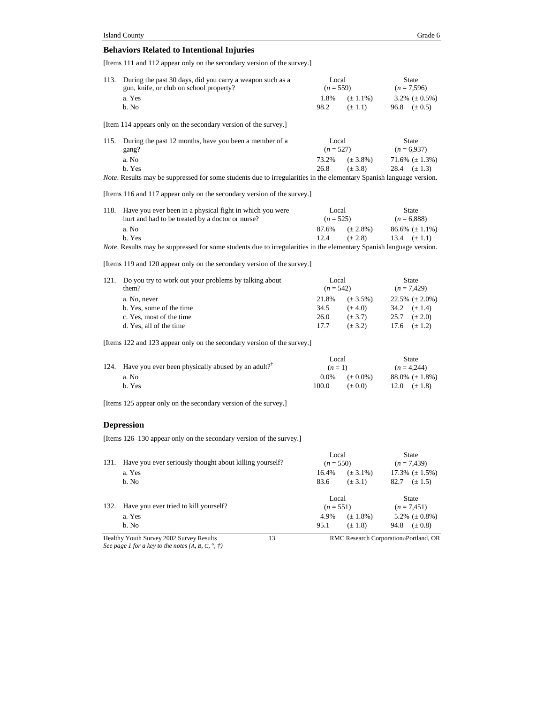### **Behaviors Related to Intentional Injuries**

[Items 111 and 112 appear only on the secondary version of the survey.]

| During the past 30 days, did you carry a weapon such as a<br><b>State</b><br>113.<br>Local<br>gun, knife, or club on school property?<br>$(n = 559)$<br>$(n = 7,596)$<br>a. Yes<br>1.8%<br>3.2% $(\pm 0.5\%)$<br>$(\pm 1.1\%)$<br>b. No<br>98.2<br>$(\pm 1.1)$<br>96.8 $(\pm 0.5)$<br>[Item 114 appears only on the secondary version of the survey.]<br>During the past 12 months, have you been a member of a<br>115.<br>Local<br>State<br>$(n = 527)$<br>$(n = 6,937)$<br>gang?<br>a. No<br>73.2%<br>71.6% $(\pm 1.3\%)$<br>$(\pm 3.8\%)$<br>b. Yes<br>26.8<br>$(\pm 3.8)$<br>28.4 $(\pm 1.3)$<br><i>Note.</i> Results may be suppressed for some students due to irregularities in the elementary Spanish language version.<br>[Items 116 and 117 appear only on the secondary version of the survey.]<br>Have you ever been in a physical fight in which you were<br>118.<br>Local<br>State<br>hurt and had to be treated by a doctor or nurse?<br>$(n = 525)$<br>$(n = 6,888)$<br>a. No<br>87.6%<br>$86.6\%~(\pm 1.1\%)$<br>$(\pm 2.8\%)$<br>b. Yes<br>12.4<br>$(\pm 2.8)$<br>13.4 $(\pm 1.1)$<br>Note. Results may be suppressed for some students due to irregularities in the elementary Spanish language version.<br>[Items 119 and 120 appear only on the secondary version of the survey.]<br>Do you try to work out your problems by talking about<br>Local<br>121.<br><b>State</b><br>them?<br>$(n = 542)$<br>$(n = 7,429)$<br>a. No, never<br>21.8%<br>$22.5\%~(\pm 2.0\%)$<br>$(\pm 3.5\%)$<br>b. Yes, some of the time<br>34.5<br>34.2 $(\pm 1.4)$<br>$(\pm 4.0)$<br>c. Yes, most of the time<br>26.0<br>$(\pm 3.7)$<br>25.7<br>$(\pm 2.0)$<br>d. Yes, all of the time<br>17.7<br>$(\pm 3.2)$<br>17.6<br>$(\pm 1.2)$<br>[Items 122 and 123 appear only on the secondary version of the survey.]<br>Local<br>State<br>Have you ever been physically abused by an adult? <sup>†</sup><br>124.<br>$(n = 4,244)$<br>$(n=1)$<br>a. No<br>88.0% $(\pm 1.8\%)$<br>$0.0\%$<br>$(\pm 0.0\%)$<br>b. Yes<br>100.0<br>$(\pm 0.0)$<br>12.0 $(\pm 1.8)$<br>[Items 125 appear only on the secondary version of the survey.]<br><b>Depression</b><br>[Items 126–130 appear only on the secondary version of the survey.]<br>Local<br>State<br>131. Have you ever seriously thought about killing yourself?<br>$(n = 550)$<br>$(n = 7,439)$<br>a. Yes<br>16.4%<br>$(\pm 3.1\%)$<br>$17.3\%~(\pm 1.5\%)$<br>83.6<br>b. No<br>$(\pm 3.1)$<br>82.7 $(\pm 1.5)$<br>Local<br>State<br>Have you ever tried to kill yourself?<br>132.<br>$(n = 551)$<br>$(n = 7,451)$<br>a. Yes<br>4.9%<br>5.2% $(\pm 0.8\%)$<br>$(\pm 1.8\%)$<br>b. No<br>95.1<br>$(\pm 1.8)$<br>94.8 $(\pm 0.8)$<br>Healthy Youth Survey 2002 Survey Results<br>13<br>RMC Research CorporationoPortland, OR |  |  |  |
|------------------------------------------------------------------------------------------------------------------------------------------------------------------------------------------------------------------------------------------------------------------------------------------------------------------------------------------------------------------------------------------------------------------------------------------------------------------------------------------------------------------------------------------------------------------------------------------------------------------------------------------------------------------------------------------------------------------------------------------------------------------------------------------------------------------------------------------------------------------------------------------------------------------------------------------------------------------------------------------------------------------------------------------------------------------------------------------------------------------------------------------------------------------------------------------------------------------------------------------------------------------------------------------------------------------------------------------------------------------------------------------------------------------------------------------------------------------------------------------------------------------------------------------------------------------------------------------------------------------------------------------------------------------------------------------------------------------------------------------------------------------------------------------------------------------------------------------------------------------------------------------------------------------------------------------------------------------------------------------------------------------------------------------------------------------------------------------------------------------------------------------------------------------------------------------------------------------------------------------------------------------------------------------------------------------------------------------------------------------------------------------------------------------------------------------------------------------------------------------------------------------------------------------------------------------------------------------------------------------------------------------------------------------------------------------------------------------------------------------------------------------------|--|--|--|
|                                                                                                                                                                                                                                                                                                                                                                                                                                                                                                                                                                                                                                                                                                                                                                                                                                                                                                                                                                                                                                                                                                                                                                                                                                                                                                                                                                                                                                                                                                                                                                                                                                                                                                                                                                                                                                                                                                                                                                                                                                                                                                                                                                                                                                                                                                                                                                                                                                                                                                                                                                                                                                                                                                                                                                        |  |  |  |
|                                                                                                                                                                                                                                                                                                                                                                                                                                                                                                                                                                                                                                                                                                                                                                                                                                                                                                                                                                                                                                                                                                                                                                                                                                                                                                                                                                                                                                                                                                                                                                                                                                                                                                                                                                                                                                                                                                                                                                                                                                                                                                                                                                                                                                                                                                                                                                                                                                                                                                                                                                                                                                                                                                                                                                        |  |  |  |
|                                                                                                                                                                                                                                                                                                                                                                                                                                                                                                                                                                                                                                                                                                                                                                                                                                                                                                                                                                                                                                                                                                                                                                                                                                                                                                                                                                                                                                                                                                                                                                                                                                                                                                                                                                                                                                                                                                                                                                                                                                                                                                                                                                                                                                                                                                                                                                                                                                                                                                                                                                                                                                                                                                                                                                        |  |  |  |
|                                                                                                                                                                                                                                                                                                                                                                                                                                                                                                                                                                                                                                                                                                                                                                                                                                                                                                                                                                                                                                                                                                                                                                                                                                                                                                                                                                                                                                                                                                                                                                                                                                                                                                                                                                                                                                                                                                                                                                                                                                                                                                                                                                                                                                                                                                                                                                                                                                                                                                                                                                                                                                                                                                                                                                        |  |  |  |
|                                                                                                                                                                                                                                                                                                                                                                                                                                                                                                                                                                                                                                                                                                                                                                                                                                                                                                                                                                                                                                                                                                                                                                                                                                                                                                                                                                                                                                                                                                                                                                                                                                                                                                                                                                                                                                                                                                                                                                                                                                                                                                                                                                                                                                                                                                                                                                                                                                                                                                                                                                                                                                                                                                                                                                        |  |  |  |
|                                                                                                                                                                                                                                                                                                                                                                                                                                                                                                                                                                                                                                                                                                                                                                                                                                                                                                                                                                                                                                                                                                                                                                                                                                                                                                                                                                                                                                                                                                                                                                                                                                                                                                                                                                                                                                                                                                                                                                                                                                                                                                                                                                                                                                                                                                                                                                                                                                                                                                                                                                                                                                                                                                                                                                        |  |  |  |
|                                                                                                                                                                                                                                                                                                                                                                                                                                                                                                                                                                                                                                                                                                                                                                                                                                                                                                                                                                                                                                                                                                                                                                                                                                                                                                                                                                                                                                                                                                                                                                                                                                                                                                                                                                                                                                                                                                                                                                                                                                                                                                                                                                                                                                                                                                                                                                                                                                                                                                                                                                                                                                                                                                                                                                        |  |  |  |
|                                                                                                                                                                                                                                                                                                                                                                                                                                                                                                                                                                                                                                                                                                                                                                                                                                                                                                                                                                                                                                                                                                                                                                                                                                                                                                                                                                                                                                                                                                                                                                                                                                                                                                                                                                                                                                                                                                                                                                                                                                                                                                                                                                                                                                                                                                                                                                                                                                                                                                                                                                                                                                                                                                                                                                        |  |  |  |
|                                                                                                                                                                                                                                                                                                                                                                                                                                                                                                                                                                                                                                                                                                                                                                                                                                                                                                                                                                                                                                                                                                                                                                                                                                                                                                                                                                                                                                                                                                                                                                                                                                                                                                                                                                                                                                                                                                                                                                                                                                                                                                                                                                                                                                                                                                                                                                                                                                                                                                                                                                                                                                                                                                                                                                        |  |  |  |
|                                                                                                                                                                                                                                                                                                                                                                                                                                                                                                                                                                                                                                                                                                                                                                                                                                                                                                                                                                                                                                                                                                                                                                                                                                                                                                                                                                                                                                                                                                                                                                                                                                                                                                                                                                                                                                                                                                                                                                                                                                                                                                                                                                                                                                                                                                                                                                                                                                                                                                                                                                                                                                                                                                                                                                        |  |  |  |
|                                                                                                                                                                                                                                                                                                                                                                                                                                                                                                                                                                                                                                                                                                                                                                                                                                                                                                                                                                                                                                                                                                                                                                                                                                                                                                                                                                                                                                                                                                                                                                                                                                                                                                                                                                                                                                                                                                                                                                                                                                                                                                                                                                                                                                                                                                                                                                                                                                                                                                                                                                                                                                                                                                                                                                        |  |  |  |
|                                                                                                                                                                                                                                                                                                                                                                                                                                                                                                                                                                                                                                                                                                                                                                                                                                                                                                                                                                                                                                                                                                                                                                                                                                                                                                                                                                                                                                                                                                                                                                                                                                                                                                                                                                                                                                                                                                                                                                                                                                                                                                                                                                                                                                                                                                                                                                                                                                                                                                                                                                                                                                                                                                                                                                        |  |  |  |
|                                                                                                                                                                                                                                                                                                                                                                                                                                                                                                                                                                                                                                                                                                                                                                                                                                                                                                                                                                                                                                                                                                                                                                                                                                                                                                                                                                                                                                                                                                                                                                                                                                                                                                                                                                                                                                                                                                                                                                                                                                                                                                                                                                                                                                                                                                                                                                                                                                                                                                                                                                                                                                                                                                                                                                        |  |  |  |
|                                                                                                                                                                                                                                                                                                                                                                                                                                                                                                                                                                                                                                                                                                                                                                                                                                                                                                                                                                                                                                                                                                                                                                                                                                                                                                                                                                                                                                                                                                                                                                                                                                                                                                                                                                                                                                                                                                                                                                                                                                                                                                                                                                                                                                                                                                                                                                                                                                                                                                                                                                                                                                                                                                                                                                        |  |  |  |
|                                                                                                                                                                                                                                                                                                                                                                                                                                                                                                                                                                                                                                                                                                                                                                                                                                                                                                                                                                                                                                                                                                                                                                                                                                                                                                                                                                                                                                                                                                                                                                                                                                                                                                                                                                                                                                                                                                                                                                                                                                                                                                                                                                                                                                                                                                                                                                                                                                                                                                                                                                                                                                                                                                                                                                        |  |  |  |
|                                                                                                                                                                                                                                                                                                                                                                                                                                                                                                                                                                                                                                                                                                                                                                                                                                                                                                                                                                                                                                                                                                                                                                                                                                                                                                                                                                                                                                                                                                                                                                                                                                                                                                                                                                                                                                                                                                                                                                                                                                                                                                                                                                                                                                                                                                                                                                                                                                                                                                                                                                                                                                                                                                                                                                        |  |  |  |
|                                                                                                                                                                                                                                                                                                                                                                                                                                                                                                                                                                                                                                                                                                                                                                                                                                                                                                                                                                                                                                                                                                                                                                                                                                                                                                                                                                                                                                                                                                                                                                                                                                                                                                                                                                                                                                                                                                                                                                                                                                                                                                                                                                                                                                                                                                                                                                                                                                                                                                                                                                                                                                                                                                                                                                        |  |  |  |
|                                                                                                                                                                                                                                                                                                                                                                                                                                                                                                                                                                                                                                                                                                                                                                                                                                                                                                                                                                                                                                                                                                                                                                                                                                                                                                                                                                                                                                                                                                                                                                                                                                                                                                                                                                                                                                                                                                                                                                                                                                                                                                                                                                                                                                                                                                                                                                                                                                                                                                                                                                                                                                                                                                                                                                        |  |  |  |
|                                                                                                                                                                                                                                                                                                                                                                                                                                                                                                                                                                                                                                                                                                                                                                                                                                                                                                                                                                                                                                                                                                                                                                                                                                                                                                                                                                                                                                                                                                                                                                                                                                                                                                                                                                                                                                                                                                                                                                                                                                                                                                                                                                                                                                                                                                                                                                                                                                                                                                                                                                                                                                                                                                                                                                        |  |  |  |
|                                                                                                                                                                                                                                                                                                                                                                                                                                                                                                                                                                                                                                                                                                                                                                                                                                                                                                                                                                                                                                                                                                                                                                                                                                                                                                                                                                                                                                                                                                                                                                                                                                                                                                                                                                                                                                                                                                                                                                                                                                                                                                                                                                                                                                                                                                                                                                                                                                                                                                                                                                                                                                                                                                                                                                        |  |  |  |
|                                                                                                                                                                                                                                                                                                                                                                                                                                                                                                                                                                                                                                                                                                                                                                                                                                                                                                                                                                                                                                                                                                                                                                                                                                                                                                                                                                                                                                                                                                                                                                                                                                                                                                                                                                                                                                                                                                                                                                                                                                                                                                                                                                                                                                                                                                                                                                                                                                                                                                                                                                                                                                                                                                                                                                        |  |  |  |
|                                                                                                                                                                                                                                                                                                                                                                                                                                                                                                                                                                                                                                                                                                                                                                                                                                                                                                                                                                                                                                                                                                                                                                                                                                                                                                                                                                                                                                                                                                                                                                                                                                                                                                                                                                                                                                                                                                                                                                                                                                                                                                                                                                                                                                                                                                                                                                                                                                                                                                                                                                                                                                                                                                                                                                        |  |  |  |
|                                                                                                                                                                                                                                                                                                                                                                                                                                                                                                                                                                                                                                                                                                                                                                                                                                                                                                                                                                                                                                                                                                                                                                                                                                                                                                                                                                                                                                                                                                                                                                                                                                                                                                                                                                                                                                                                                                                                                                                                                                                                                                                                                                                                                                                                                                                                                                                                                                                                                                                                                                                                                                                                                                                                                                        |  |  |  |
|                                                                                                                                                                                                                                                                                                                                                                                                                                                                                                                                                                                                                                                                                                                                                                                                                                                                                                                                                                                                                                                                                                                                                                                                                                                                                                                                                                                                                                                                                                                                                                                                                                                                                                                                                                                                                                                                                                                                                                                                                                                                                                                                                                                                                                                                                                                                                                                                                                                                                                                                                                                                                                                                                                                                                                        |  |  |  |
|                                                                                                                                                                                                                                                                                                                                                                                                                                                                                                                                                                                                                                                                                                                                                                                                                                                                                                                                                                                                                                                                                                                                                                                                                                                                                                                                                                                                                                                                                                                                                                                                                                                                                                                                                                                                                                                                                                                                                                                                                                                                                                                                                                                                                                                                                                                                                                                                                                                                                                                                                                                                                                                                                                                                                                        |  |  |  |
|                                                                                                                                                                                                                                                                                                                                                                                                                                                                                                                                                                                                                                                                                                                                                                                                                                                                                                                                                                                                                                                                                                                                                                                                                                                                                                                                                                                                                                                                                                                                                                                                                                                                                                                                                                                                                                                                                                                                                                                                                                                                                                                                                                                                                                                                                                                                                                                                                                                                                                                                                                                                                                                                                                                                                                        |  |  |  |
|                                                                                                                                                                                                                                                                                                                                                                                                                                                                                                                                                                                                                                                                                                                                                                                                                                                                                                                                                                                                                                                                                                                                                                                                                                                                                                                                                                                                                                                                                                                                                                                                                                                                                                                                                                                                                                                                                                                                                                                                                                                                                                                                                                                                                                                                                                                                                                                                                                                                                                                                                                                                                                                                                                                                                                        |  |  |  |
|                                                                                                                                                                                                                                                                                                                                                                                                                                                                                                                                                                                                                                                                                                                                                                                                                                                                                                                                                                                                                                                                                                                                                                                                                                                                                                                                                                                                                                                                                                                                                                                                                                                                                                                                                                                                                                                                                                                                                                                                                                                                                                                                                                                                                                                                                                                                                                                                                                                                                                                                                                                                                                                                                                                                                                        |  |  |  |
|                                                                                                                                                                                                                                                                                                                                                                                                                                                                                                                                                                                                                                                                                                                                                                                                                                                                                                                                                                                                                                                                                                                                                                                                                                                                                                                                                                                                                                                                                                                                                                                                                                                                                                                                                                                                                                                                                                                                                                                                                                                                                                                                                                                                                                                                                                                                                                                                                                                                                                                                                                                                                                                                                                                                                                        |  |  |  |
|                                                                                                                                                                                                                                                                                                                                                                                                                                                                                                                                                                                                                                                                                                                                                                                                                                                                                                                                                                                                                                                                                                                                                                                                                                                                                                                                                                                                                                                                                                                                                                                                                                                                                                                                                                                                                                                                                                                                                                                                                                                                                                                                                                                                                                                                                                                                                                                                                                                                                                                                                                                                                                                                                                                                                                        |  |  |  |
|                                                                                                                                                                                                                                                                                                                                                                                                                                                                                                                                                                                                                                                                                                                                                                                                                                                                                                                                                                                                                                                                                                                                                                                                                                                                                                                                                                                                                                                                                                                                                                                                                                                                                                                                                                                                                                                                                                                                                                                                                                                                                                                                                                                                                                                                                                                                                                                                                                                                                                                                                                                                                                                                                                                                                                        |  |  |  |
|                                                                                                                                                                                                                                                                                                                                                                                                                                                                                                                                                                                                                                                                                                                                                                                                                                                                                                                                                                                                                                                                                                                                                                                                                                                                                                                                                                                                                                                                                                                                                                                                                                                                                                                                                                                                                                                                                                                                                                                                                                                                                                                                                                                                                                                                                                                                                                                                                                                                                                                                                                                                                                                                                                                                                                        |  |  |  |
|                                                                                                                                                                                                                                                                                                                                                                                                                                                                                                                                                                                                                                                                                                                                                                                                                                                                                                                                                                                                                                                                                                                                                                                                                                                                                                                                                                                                                                                                                                                                                                                                                                                                                                                                                                                                                                                                                                                                                                                                                                                                                                                                                                                                                                                                                                                                                                                                                                                                                                                                                                                                                                                                                                                                                                        |  |  |  |
|                                                                                                                                                                                                                                                                                                                                                                                                                                                                                                                                                                                                                                                                                                                                                                                                                                                                                                                                                                                                                                                                                                                                                                                                                                                                                                                                                                                                                                                                                                                                                                                                                                                                                                                                                                                                                                                                                                                                                                                                                                                                                                                                                                                                                                                                                                                                                                                                                                                                                                                                                                                                                                                                                                                                                                        |  |  |  |
|                                                                                                                                                                                                                                                                                                                                                                                                                                                                                                                                                                                                                                                                                                                                                                                                                                                                                                                                                                                                                                                                                                                                                                                                                                                                                                                                                                                                                                                                                                                                                                                                                                                                                                                                                                                                                                                                                                                                                                                                                                                                                                                                                                                                                                                                                                                                                                                                                                                                                                                                                                                                                                                                                                                                                                        |  |  |  |
|                                                                                                                                                                                                                                                                                                                                                                                                                                                                                                                                                                                                                                                                                                                                                                                                                                                                                                                                                                                                                                                                                                                                                                                                                                                                                                                                                                                                                                                                                                                                                                                                                                                                                                                                                                                                                                                                                                                                                                                                                                                                                                                                                                                                                                                                                                                                                                                                                                                                                                                                                                                                                                                                                                                                                                        |  |  |  |
|                                                                                                                                                                                                                                                                                                                                                                                                                                                                                                                                                                                                                                                                                                                                                                                                                                                                                                                                                                                                                                                                                                                                                                                                                                                                                                                                                                                                                                                                                                                                                                                                                                                                                                                                                                                                                                                                                                                                                                                                                                                                                                                                                                                                                                                                                                                                                                                                                                                                                                                                                                                                                                                                                                                                                                        |  |  |  |
|                                                                                                                                                                                                                                                                                                                                                                                                                                                                                                                                                                                                                                                                                                                                                                                                                                                                                                                                                                                                                                                                                                                                                                                                                                                                                                                                                                                                                                                                                                                                                                                                                                                                                                                                                                                                                                                                                                                                                                                                                                                                                                                                                                                                                                                                                                                                                                                                                                                                                                                                                                                                                                                                                                                                                                        |  |  |  |
|                                                                                                                                                                                                                                                                                                                                                                                                                                                                                                                                                                                                                                                                                                                                                                                                                                                                                                                                                                                                                                                                                                                                                                                                                                                                                                                                                                                                                                                                                                                                                                                                                                                                                                                                                                                                                                                                                                                                                                                                                                                                                                                                                                                                                                                                                                                                                                                                                                                                                                                                                                                                                                                                                                                                                                        |  |  |  |
|                                                                                                                                                                                                                                                                                                                                                                                                                                                                                                                                                                                                                                                                                                                                                                                                                                                                                                                                                                                                                                                                                                                                                                                                                                                                                                                                                                                                                                                                                                                                                                                                                                                                                                                                                                                                                                                                                                                                                                                                                                                                                                                                                                                                                                                                                                                                                                                                                                                                                                                                                                                                                                                                                                                                                                        |  |  |  |
|                                                                                                                                                                                                                                                                                                                                                                                                                                                                                                                                                                                                                                                                                                                                                                                                                                                                                                                                                                                                                                                                                                                                                                                                                                                                                                                                                                                                                                                                                                                                                                                                                                                                                                                                                                                                                                                                                                                                                                                                                                                                                                                                                                                                                                                                                                                                                                                                                                                                                                                                                                                                                                                                                                                                                                        |  |  |  |

*See page 1 for a key to the notes (A, B, C,* °*, †)*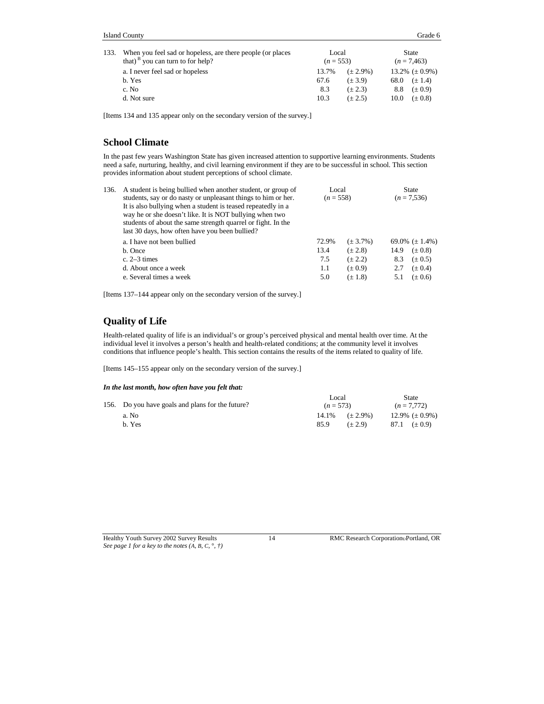| 133. When you feel sad or hopeless, are there people (or places<br>that) <sup>B</sup> you can turn to for help? | Local<br>$(n = 553)$ |               | State<br>$(n = 7,463)$ |                     |
|-----------------------------------------------------------------------------------------------------------------|----------------------|---------------|------------------------|---------------------|
| a. I never feel sad or hopeless                                                                                 | 13.7%                | $(\pm 2.9\%)$ |                        | 13.2% $(\pm 0.9\%)$ |
| b. Yes                                                                                                          | 67.6                 | $(\pm 3.9)$   | 68.0                   | $(\pm 1.4)$         |
| c. No                                                                                                           | 8.3                  | $(\pm 2.3)$   | 8.8                    | $(\pm 0.9)$         |
| d. Not sure                                                                                                     | 10.3                 | $(\pm 2.5)$   | 10.0                   | $(\pm 0.8)$         |

[Items 134 and 135 appear only on the secondary version of the survey.]

### **School Climate**

In the past few years Washington State has given increased attention to supportive learning environments. Students need a safe, nurturing, healthy, and civil learning environment if they are to be successful in school. This section provides information about student perceptions of school climate.

| 136. | A student is being bullied when another student, or group of                                                                                                              | Local       |               | <b>State</b> |                     |
|------|---------------------------------------------------------------------------------------------------------------------------------------------------------------------------|-------------|---------------|--------------|---------------------|
|      | students, say or do nasty or unpleasant things to him or her.                                                                                                             | $(n = 558)$ |               |              | $(n = 7,536)$       |
|      | It is also bullying when a student is teased repeatedly in a                                                                                                              |             |               |              |                     |
|      | way he or she doesn't like. It is NOT bullying when two<br>students of about the same strength quarrel or fight. In the<br>last 30 days, how often have you been bullied? |             |               |              |                     |
|      | a. I have not been bullied                                                                                                                                                | 72.9%       | $(\pm 3.7\%)$ |              | 69.0% $(\pm 1.4\%)$ |
|      | b. Once                                                                                                                                                                   | 13.4        | $(\pm 2.8)$   | 14.9         | $(\pm 0.8)$         |
|      | c. $2-3$ times                                                                                                                                                            | 7.5         | $(\pm 2.2)$   | 8.3          | $(\pm 0.5)$         |
|      | d. About once a week                                                                                                                                                      | 1.1         | $(\pm 0.9)$   | 2.7          | $(\pm 0.4)$         |
|      | e. Several times a week                                                                                                                                                   | 5.0         | $(\pm 1.8)$   | 5.1          | $(\pm 0.6)$         |

[Items 137–144 appear only on the secondary version of the survey.]

### **Quality of Life**

Health-related quality of life is an individual's or group's perceived physical and mental health over time. At the individual level it involves a person's health and health-related conditions; at the community level it involves conditions that influence people's health. This section contains the results of the items related to quality of life.

[Items 145–155 appear only on the secondary version of the survey.]

### *In the last month, how often have you felt that:*

| 156. Do you have goals and plans for the future? |       | Local<br>$(n = 573)$ |  | State<br>$(n = 7.772)$ |
|--------------------------------------------------|-------|----------------------|--|------------------------|
| a. No                                            | 14.1% | $(\pm 2.9\%)$        |  | 12.9% $(\pm 0.9\%)$    |
| b. Yes                                           | 85.9  | $(+ 2.9)$            |  | 87.1 $(\pm 0.9)$       |

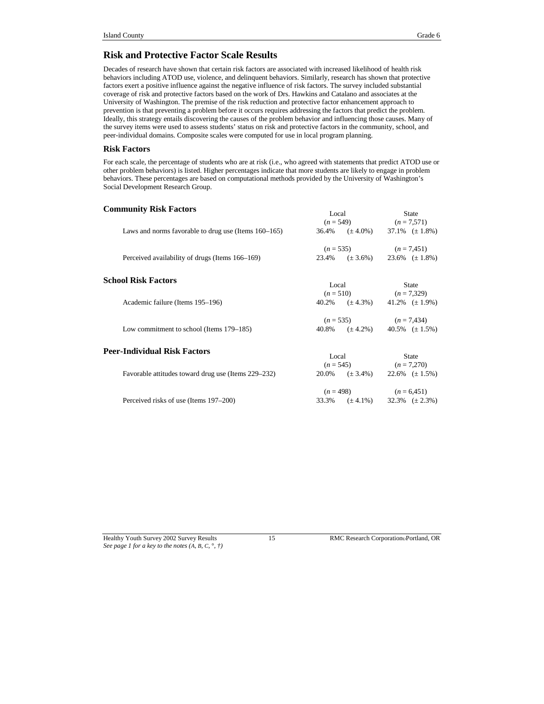### **Risk and Protective Factor Scale Results**

Decades of research have shown that certain risk factors are associated with increased likelihood of health risk behaviors including ATOD use, violence, and delinquent behaviors. Similarly, research has shown that protective factors exert a positive influence against the negative influence of risk factors. The survey included substantial coverage of risk and protective factors based on the work of Drs. Hawkins and Catalano and associates at the University of Washington. The premise of the risk reduction and protective factor enhancement approach to prevention is that preventing a problem before it occurs requires addressing the factors that predict the problem. Ideally, this strategy entails discovering the causes of the problem behavior and influencing those causes. Many of the survey items were used to assess students' status on risk and protective factors in the community, school, and peer-individual domains. Composite scales were computed for use in local program planning.

#### **Risk Factors**

For each scale, the percentage of students who are at risk (i.e., who agreed with statements that predict ATOD use or other problem behaviors) is listed. Higher percentages indicate that more students are likely to engage in problem behaviors. These percentages are based on computational methods provided by the University of Washington's Social Development Research Group.

| <b>Community Risk Factors</b><br>Laws and norms favorable to drug use (Items 160–165) | Local<br>$36.4\%$ $(\pm 4.0\%)$ $37.1\%$ $(\pm 1.8\%)$                     | <b>State</b><br>$(n = 549)$ $(n = 7,571)$ |
|---------------------------------------------------------------------------------------|----------------------------------------------------------------------------|-------------------------------------------|
| Perceived availability of drugs (Items 166–169)                                       | $(n = 535)$ $(n = 7,451)$<br>$23.4\%$ $(\pm 3.6\%)$ $23.6\%$ $(\pm 1.8\%)$ |                                           |
| <b>School Risk Factors</b>                                                            | Local                                                                      | State                                     |
| Academic failure (Items 195–196)                                                      | $(n = 510)$ $(n = 7,329)$<br>$40.2\%$ $(\pm 4.3\%)$ $41.2\%$ $(\pm 1.9\%)$ |                                           |
| Low commitment to school (Items 179–185)                                              | $(n = 535)$ $(n = 7,434)$<br>$40.8\%$ $(\pm 4.2\%)$ $40.5\%$ $(\pm 1.5\%)$ |                                           |
| Peer-Individual Risk Factors                                                          | Local                                                                      | <b>State</b>                              |
| Favorable attitudes toward drug use (Items 229–232)                                   | $(n = 545)$ $(n = 7,270)$<br>$20.0\%$ $(\pm 3.4\%)$ $22.6\%$ $(\pm 1.5\%)$ |                                           |
| Perceived risks of use (Items 197–200)                                                | $(n = 498)$ $(n = 6,451)$<br>$33.3\%$ $(\pm 4.1\%)$ $32.3\%$ $(\pm 2.3\%)$ |                                           |

*See page 1 for a key to the notes (A, B, C,* °*, †)*

Healthy Youth Survey 2002 Survey Results 15 RMC Research Corporation Portland, OR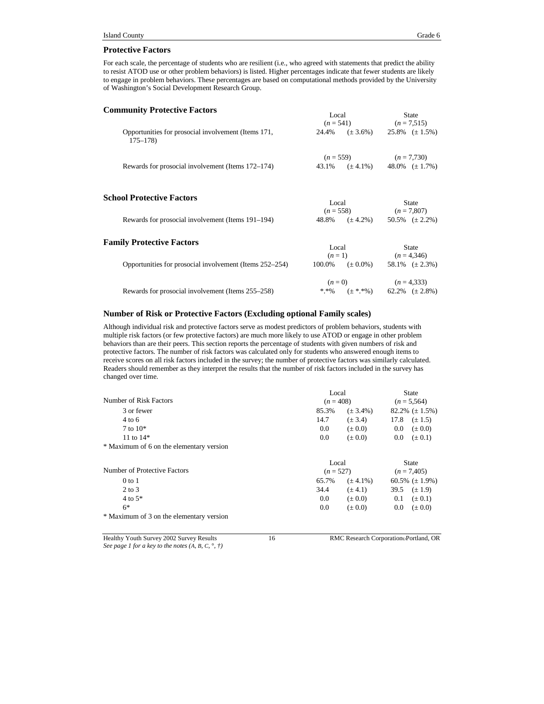#### **Protective Factors**

For each scale, the percentage of students who are resilient (i.e., who agreed with statements that predict the ability to resist ATOD use or other problem behaviors) is listed. Higher percentages indicate that fewer students are likely to engage in problem behaviors. These percentages are based on computational methods provided by the University of Washington's Social Development Research Group.

| <b>Community Protective Factors</b>                                | Local<br>$(n = 541)$ $(n = 7,515)$                                   | State                                   |
|--------------------------------------------------------------------|----------------------------------------------------------------------|-----------------------------------------|
| Opportunities for prosocial involvement (Items 171,<br>$175 - 178$ | 24.4% $(\pm 3.6\%)$ 25.8% $(\pm 1.5\%)$                              |                                         |
| Rewards for prosocial involvement (Items 172–174)                  | $(n = 559)$ $(n = 7,730)$<br>43.1% $(\pm 4.1\%)$ 48.0% $(\pm 1.7\%)$ |                                         |
| <b>School Protective Factors</b>                                   | Local<br>$(n = 558)$ $(n = 7,807)$                                   | <b>State</b>                            |
| Rewards for prosocial involvement (Items 191–194)                  | 48.8% $(\pm 4.2\%)$ 50.5% $(\pm 2.2\%)$                              |                                         |
| <b>Family Protective Factors</b>                                   | Local                                                                | <b>State</b><br>$(n = 1)$ $(n = 4,346)$ |
| Opportunities for prosocial involvement (Items 252–254)            | $100.0\%$ $(\pm 0.0\%)$ 58.1% $(\pm 2.3\%)$                          |                                         |
|                                                                    | $(n=0)$                                                              | $(n=4,333)$                             |

#### **Number of Risk or Protective Factors (Excluding optional Family scales)**

Although individual risk and protective factors serve as modest predictors of problem behaviors, students with multiple risk factors (or few protective factors) are much more likely to use ATOD or engage in other problem behaviors than are their peers. This section reports the percentage of students with given numbers of risk and protective factors. The number of risk factors was calculated only for students who answered enough items to receive scores on all risk factors included in the survey; the number of protective factors was similarly calculated. Readers should remember as they interpret the results that the number of risk factors included in the survey has changed over time.

Rewards for prosocial involvement (Items 255–258)  $*.*\%$   $(\pm **\%)$  62.2%  $(\pm 2.8\%)$ 

|                                          | Local       |               | <b>State</b>           |  |
|------------------------------------------|-------------|---------------|------------------------|--|
| Number of Risk Factors                   | $(n = 408)$ |               | $(n = 5,564)$          |  |
| 3 or fewer                               | 85.3%       | $(\pm 3.4\%)$ | $82.2\%~(\pm 1.5\%)$   |  |
| $4$ to 6                                 | 14.7        | $(\pm 3.4)$   | 17.8<br>$(\pm 1.5)$    |  |
| $7$ to $10*$                             | 0.0         | $(\pm 0.0)$   | $0.0\,$<br>$(\pm 0.0)$ |  |
| 11 to $14*$                              | 0.0         | $(\pm 0.0)$   | $0.0\,$<br>$(\pm 0.1)$ |  |
| * Maximum of 6 on the elementary version |             |               |                        |  |
|                                          | Local       |               | <b>State</b>           |  |
| Number of Protective Factors             | $(n = 527)$ |               | $(n = 7,405)$          |  |
| $0$ to $1$                               | 65.7%       | $(\pm 4.1\%)$ | 60.5% $(\pm 1.9\%)$    |  |
| $2$ to $3$                               | 34.4        | $(\pm 4.1)$   | 39.5<br>$(\pm 1.9)$    |  |
| $4$ to $5*$                              | 0.0         | $(\pm 0.0)$   | 0.1<br>$(\pm 0.1)$     |  |
| $6*$                                     | 0.0         | $(\pm 0.0)$   | 0.0<br>$(\pm 0.0)$     |  |
| * Maximum of 3 on the elementary version |             |               |                        |  |
|                                          |             |               |                        |  |

Healthy Youth Survey 2002 Survey Results 16 RMC Research Corporation Portland, OR *See page 1 for a key to the notes (A, B, C,* °*, †)*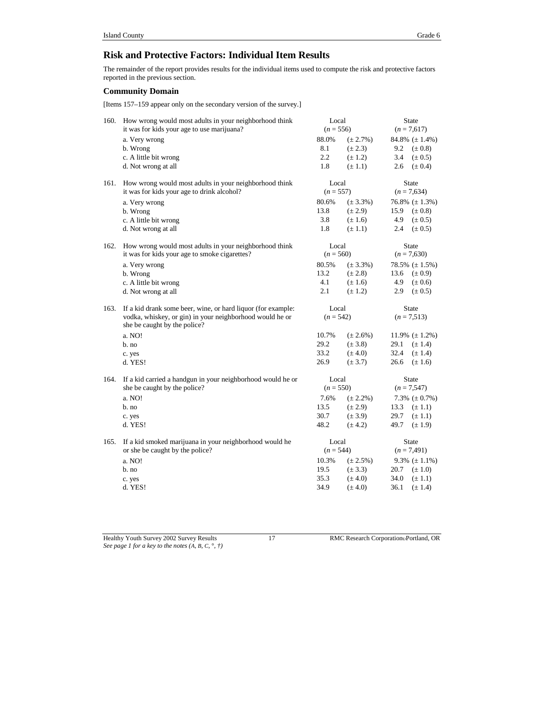### **Risk and Protective Factors: Individual Item Results**

The remainder of the report provides results for the individual items used to compute the risk and protective factors reported in the previous section.

### **Community Domain**

[Items 157–159 appear only on the secondary version of the survey.]

| 160. | How wrong would most adults in your neighborhood think<br>it was for kids your age to use marijuana? | Local<br>$(n = 556)$ |               | State<br>$(n = 7,617)$ |                     |
|------|------------------------------------------------------------------------------------------------------|----------------------|---------------|------------------------|---------------------|
|      | a. Very wrong                                                                                        | 88.0%                | $(\pm 2.7\%)$ |                        | 84.8% $(\pm 1.4\%)$ |
|      | b. Wrong                                                                                             | 8.1                  | $(\pm 2.3)$   | 9.2                    | $(\pm 0.8)$         |
|      | c. A little bit wrong                                                                                | 2.2                  | $(\pm 1.2)$   | 3.4                    | $(\pm 0.5)$         |
|      | d. Not wrong at all                                                                                  | 1.8                  | $(\pm 1.1)$   | 2.6                    | $(\pm 0.4)$         |
| 161. | How wrong would most adults in your neighborhood think                                               | Local                |               |                        | State               |
|      | it was for kids your age to drink alcohol?                                                           | $(n = 557)$          |               |                        | $(n = 7,634)$       |
|      | a. Very wrong                                                                                        | 80.6%                | $(\pm 3.3\%)$ |                        | 76.8% $(\pm 1.3\%)$ |
|      | b. Wrong                                                                                             | 13.8                 | $(\pm 2.9)$   | 15.9                   | $(\pm 0.8)$         |
|      | c. A little bit wrong                                                                                | 3.8                  | $(\pm 1.6)$   | 4.9                    | $(\pm 0.5)$         |
|      | d. Not wrong at all                                                                                  | 1.8                  | $(\pm 1.1)$   | 2.4                    | $(\pm 0.5)$         |
| 162. | How wrong would most adults in your neighborhood think                                               | Local                |               |                        | State               |
|      | it was for kids your age to smoke cigarettes?                                                        | $(n = 560)$          |               |                        | $(n = 7,630)$       |
|      | a. Very wrong                                                                                        | 80.5%                | $(\pm 3.3\%)$ |                        | 78.5% $(\pm 1.5\%)$ |
|      | b. Wrong                                                                                             | 13.2                 | $(\pm 2.8)$   | 13.6                   | $(\pm 0.9)$         |
|      | c. A little bit wrong                                                                                | 4.1                  | $(\pm 1.6)$   | 4.9                    | $(\pm 0.6)$         |
|      | d. Not wrong at all                                                                                  | 2.1                  | $(\pm 1.2)$   | 2.9                    | $(\pm 0.5)$         |
| 163. | If a kid drank some beer, wine, or hard liquor (for example:                                         | Local                |               |                        | State               |
|      | vodka, whiskey, or gin) in your neighborhood would he or<br>she be caught by the police?             | $(n = 542)$          |               |                        | $(n = 7,513)$       |
|      | a. NO!                                                                                               | 10.7%                | $(\pm 2.6\%)$ |                        | 11.9% $(\pm 1.2\%)$ |
|      | $b$ . no                                                                                             | 29.2                 | $(\pm 3.8)$   | 29.1                   | $(\pm 1.4)$         |
|      | c. yes                                                                                               | 33.2                 | $(\pm 4.0)$   | 32.4                   | $(\pm 1.4)$         |
|      | d. YES!                                                                                              | 26.9                 | $(\pm 3.7)$   | 26.6                   | $(\pm 1.6)$         |
| 164. | If a kid carried a handgun in your neighborhood would he or                                          | Local                |               |                        | <b>State</b>        |
|      | she be caught by the police?                                                                         | $(n = 550)$          |               |                        | $(n = 7,547)$       |
|      | a. NO!                                                                                               | 7.6%                 | $(\pm 2.2\%)$ |                        | 7.3% $(\pm 0.7\%)$  |
|      | b. no                                                                                                | 13.5                 | $(\pm 2.9)$   | 13.3                   | $(\pm 1.1)$         |
|      | c. yes                                                                                               | 30.7                 | $(\pm 3.9)$   | 29.7                   | $(\pm 1.1)$         |
|      | d. YES!                                                                                              | 48.2                 | $(\pm 4.2)$   | 49.7                   | $(\pm 1.9)$         |
| 165. | If a kid smoked marijuana in your neighborhood would he                                              | Local                |               |                        | <b>State</b>        |
|      | or she be caught by the police?                                                                      | $(n = 544)$          |               |                        | $(n = 7,491)$       |
|      | a. NO!                                                                                               | 10.3%                | $(\pm 2.5\%)$ |                        | 9.3% $(\pm 1.1\%)$  |
|      | b. no                                                                                                | 19.5                 | $(\pm 3.3)$   | 20.7                   | $(\pm 1.0)$         |
|      | c. yes                                                                                               | 35.3                 | $(\pm 4.0)$   | 34.0                   | $(\pm 1.1)$         |
|      | d. YES!                                                                                              | 34.9                 | $(\pm 4.0)$   | 36.1                   | $(\pm 1.4)$         |

Healthy Youth Survey 2002 Survey Results 17 RMC Research Corporation Portland, OR *See page 1 for a key to the notes (A, B, C,* °*, †)*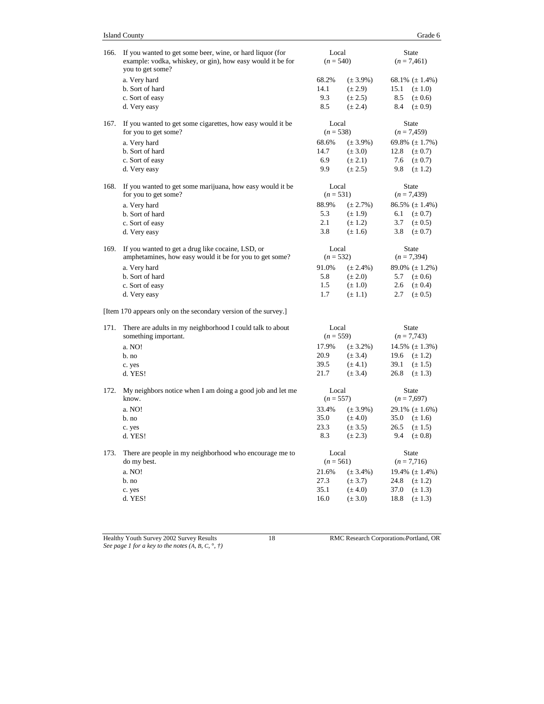| 166. | If you wanted to get some beer, wine, or hard liquor (for<br>example: vodka, whiskey, or gin), how easy would it be for<br>you to get some? |                      | Local<br>$(n = 540)$ |                | <b>State</b><br>$(n = 7,461)$ |
|------|---------------------------------------------------------------------------------------------------------------------------------------------|----------------------|----------------------|----------------|-------------------------------|
|      | a. Very hard                                                                                                                                | 68.2%                | $(\pm 3.9\%)$        |                | 68.1% $(\pm 1.4\%)$           |
|      | b. Sort of hard                                                                                                                             | 14.1                 | $(\pm 2.9)$          | 15.1           | $(\pm 1.0)$                   |
|      | c. Sort of easy                                                                                                                             | 9.3                  | $(\pm 2.5)$          | 8.5            | $(\pm 0.6)$                   |
|      | d. Very easy                                                                                                                                | 8.5                  | $(\pm 2.4)$          | 8.4            | $(\pm 0.9)$                   |
| 167. | If you wanted to get some cigarettes, how easy would it be<br>for you to get some?                                                          | Local<br>$(n = 538)$ |                      |                | <b>State</b><br>$(n = 7,459)$ |
|      | a. Very hard                                                                                                                                | 68.6%                | $(\pm 3.9\%)$        |                | 69.8% $(\pm 1.7\%)$           |
|      | b. Sort of hard                                                                                                                             | 14.7                 | $(\pm 3.0)$          | 12.8           | $(\pm 0.7)$                   |
|      | c. Sort of easy                                                                                                                             | 6.9                  | $(\pm 2.1)$          | 7.6            | $(\pm 0.7)$                   |
|      | d. Very easy                                                                                                                                | 9.9                  | $(\pm 2.5)$          | 9.8            | $(\pm 1.2)$                   |
| 168. | If you wanted to get some marijuana, how easy would it be                                                                                   | Local                |                      |                | <b>State</b>                  |
|      | for you to get some?                                                                                                                        | $(n = 531)$          |                      |                | $(n = 7,439)$                 |
|      | a. Very hard                                                                                                                                | 88.9%                | $(\pm 2.7\%)$        |                | $86.5\%~(\pm 1.4\%)$          |
|      | b. Sort of hard                                                                                                                             | 5.3                  | $(\pm 1.9)$          | 6.1            | $(\pm 0.7)$                   |
|      | c. Sort of easy                                                                                                                             | 2.1                  | $(\pm 1.2)$          | 3.7            | $(\pm 0.5)$                   |
|      | d. Very easy                                                                                                                                | 3.8                  | $(\pm 1.6)$          | 3.8            | $(\pm 0.7)$                   |
| 169. | If you wanted to get a drug like cocaine, LSD, or                                                                                           | Local                |                      |                | <b>State</b>                  |
|      | amphetamines, how easy would it be for you to get some?                                                                                     | $(n = 532)$          |                      |                | $(n = 7,394)$                 |
|      | a. Very hard                                                                                                                                | 91.0%                | $(\pm 2.4\%)$        |                | 89.0% $(\pm 1.2\%)$           |
|      | b. Sort of hard                                                                                                                             | 5.8                  | $(\pm 2.0)$          | 5.7            | $(\pm 0.6)$                   |
|      | c. Sort of easy                                                                                                                             | 1.5                  | $(\pm 1.0)$          | 2.6            | $(\pm 0.4)$                   |
|      | d. Very easy                                                                                                                                | 1.7                  | $(\pm 1.1)$          | 2.7            | $(\pm 0.5)$                   |
|      | [Item 170 appears only on the secondary version of the survey.]                                                                             |                      |                      |                |                               |
| 171. | There are adults in my neighborhood I could talk to about                                                                                   | Local                |                      |                | <b>State</b>                  |
|      | something important.                                                                                                                        | $(n = 559)$          |                      | $(n = 7, 743)$ |                               |
|      | a. NO!                                                                                                                                      | 17.9%                | $(\pm 3.2\%)$        |                | 14.5% $(\pm 1.3\%)$           |
|      | b. no                                                                                                                                       | 20.9                 | $(\pm 3.4)$          | 19.6           | $(\pm 1.2)$                   |
|      | c. yes                                                                                                                                      | 39.5                 | $(\pm 4.1)$          | 39.1           | $(\pm 1.5)$                   |
|      | d. YES!                                                                                                                                     | 21.7                 | $(\pm 3.4)$          | 26.8           | $(\pm 1.3)$                   |
| 172. | My neighbors notice when I am doing a good job and let me<br>know.                                                                          | Local<br>$(n = 557)$ |                      |                | State<br>$(n = 7,697)$        |
|      | a. NO!                                                                                                                                      | 33.4%                | $(\pm 3.9\%)$        |                | 29.1% $(\pm 1.6\%)$           |
|      | b. no                                                                                                                                       | 35.0                 | $(\pm 4.0)$          | 35.0           | $(\pm 1.6)$                   |
|      | c. yes                                                                                                                                      | 23.3                 | $(\pm 3.5)$          | 26.5           | $(\pm 1.5)$                   |
|      | d. YES!                                                                                                                                     | 8.3                  | $(\pm 2.3)$          | 9.4            | $(\pm 0.8)$                   |
| 173. | There are people in my neighborhood who encourage me to                                                                                     |                      | Local                |                | <b>State</b>                  |
|      | do my best.                                                                                                                                 | $(n = 561)$          |                      |                | $(n = 7, 716)$                |
|      | a. NO!                                                                                                                                      | 21.6%                | $(\pm 3.4\%)$        |                | 19.4% $(\pm 1.4\%)$           |
|      | b. no                                                                                                                                       | 27.3                 | $(\pm 3.7)$          | 24.8           | $(\pm 1.2)$                   |
|      | c. yes                                                                                                                                      | 35.1                 | $(\pm 4.0)$          | 37.0           | $(\pm 1.3)$                   |
|      | d. YES!                                                                                                                                     | 16.0                 | $(\pm 3.0)$          | 18.8           | $(\pm 1.3)$                   |

*See page 1 for a key to the notes (A, B, C,* °*, †)*

Healthy Youth Survey 2002 Survey Results 18 RMC Research Corporation Portland, OR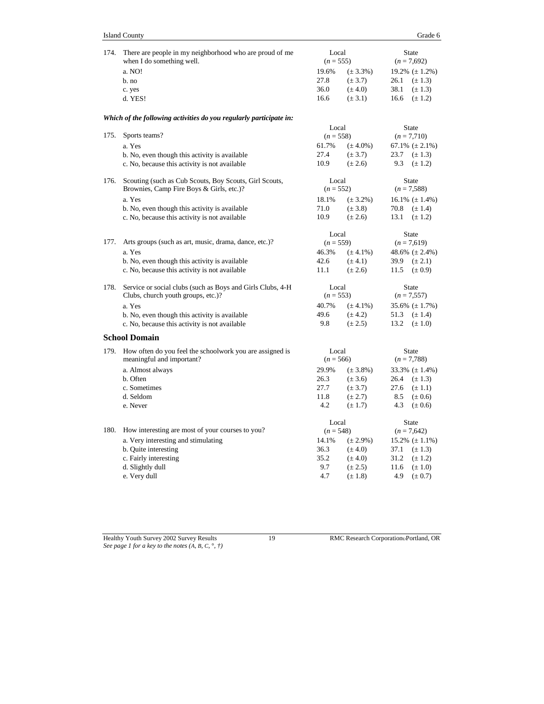| 174. | There are people in my neighborhood who are proud of me                                            | Local                |                              |                               | <b>State</b>                        |
|------|----------------------------------------------------------------------------------------------------|----------------------|------------------------------|-------------------------------|-------------------------------------|
|      | when I do something well.                                                                          | $(n = 555)$          |                              |                               | $(n = 7,692)$                       |
|      | a. NO!                                                                                             | 19.6%                | $(\pm 3.3\%)$                |                               | 19.2% $(\pm 1.2\%)$                 |
|      | b. no                                                                                              | 27.8<br>36.0         | $(\pm 3.7)$<br>$(\pm 4.0)$   | 26.1<br>38.1                  | $(\pm 1.3)$<br>$(\pm 1.3)$          |
|      | c. yes<br>d. YES!                                                                                  | 16.6                 | $(\pm 3.1)$                  | 16.6                          | $(\pm 1.2)$                         |
|      |                                                                                                    |                      |                              |                               |                                     |
|      | Which of the following activities do you regularly participate in:                                 |                      |                              |                               |                                     |
|      |                                                                                                    | Local                |                              | <b>State</b>                  |                                     |
| 175. | Sports teams?                                                                                      | $(n = 558)$          |                              |                               | $(n = 7, 710)$                      |
|      | a. Yes                                                                                             | 61.7%                | $(\pm 4.0\%)$                |                               | 67.1% $(\pm 2.1\%)$                 |
|      | b. No, even though this activity is available                                                      | 27.4<br>10.9         | $(\pm 3.7)$                  | 23.7                          | $(\pm 1.3)$                         |
|      | c. No, because this activity is not available                                                      |                      | $(\pm 2.6)$                  | 9.3                           | $(\pm 1.2)$                         |
| 176. | Scouting (such as Cub Scouts, Boy Scouts, Girl Scouts,<br>Brownies, Camp Fire Boys & Girls, etc.)? | Local<br>$(n = 552)$ |                              |                               | <b>State</b><br>$(n = 7,588)$       |
|      | a. Yes                                                                                             | 18.1%                | $(\pm 3.2\%)$                |                               | 16.1% $(\pm 1.4\%)$                 |
|      | b. No, even though this activity is available                                                      | 71.0                 | $(\pm 3.8)$                  | 70.8                          | $(\pm 1.4)$                         |
|      | c. No, because this activity is not available                                                      | 10.9                 | $(\pm 2.6)$                  | 13.1                          | $(\pm 1.2)$                         |
|      |                                                                                                    | Local                |                              |                               | <b>State</b>                        |
| 177. | Arts groups (such as art, music, drama, dance, etc.)?                                              | $(n = 559)$          |                              |                               | $(n = 7,619)$                       |
|      | a. Yes                                                                                             | 46.3%                | $(\pm 4.1\%)$                |                               | 48.6% $(\pm 2.4\%)$                 |
|      | b. No, even though this activity is available                                                      | 42.6                 | $(\pm 4.1)$                  | 39.9                          | $(\pm 2.1)$                         |
|      | c. No, because this activity is not available                                                      | 11.1                 | $(\pm 2.6)$                  | 11.5                          | $(\pm 0.9)$                         |
| 178. | Service or social clubs (such as Boys and Girls Clubs, 4-H)                                        | Local<br>$(n = 553)$ |                              |                               | <b>State</b>                        |
|      | Clubs, church youth groups, etc.)?                                                                 |                      |                              |                               | $(n = 7, 557)$                      |
|      | a. Yes                                                                                             | 40.7%                | $(\pm 4.1\%)$                |                               | $35.6\%~(\pm 1.7\%)$                |
|      | b. No, even though this activity is available<br>c. No, because this activity is not available     | 49.6<br>9.8          | $(\pm 4.2)$<br>$(\pm 2.5)$   | 51.3<br>13.2                  | $(\pm 1.4)$<br>$(\pm 1.0)$          |
|      | <b>School Domain</b>                                                                               |                      |                              |                               |                                     |
|      |                                                                                                    |                      |                              |                               |                                     |
| 179. | How often do you feel the schoolwork you are assigned is<br>meaningful and important?              | Local<br>$(n = 566)$ |                              | <b>State</b><br>$(n = 7,788)$ |                                     |
|      |                                                                                                    |                      |                              |                               |                                     |
|      | a. Almost always<br>b. Often                                                                       | 29.9%<br>26.3        | $(\pm 3.8\%)$<br>$(\pm 3.6)$ | 26.4                          | $33.3\%~(\pm 1.4\%)$<br>$(\pm 1.3)$ |
|      | c. Sometimes                                                                                       | 27.7                 | $(\pm 3.7)$                  | 27.6                          | $(\pm 1.1)$                         |
|      | d. Seldom                                                                                          | 11.8                 | $(\pm 2.7)$                  | 8.5                           | $(\pm 0.6)$                         |
|      | e. Never                                                                                           | 4.2                  | $(\pm 1.7)$                  | 4.3                           | $(\pm 0.6)$                         |
|      |                                                                                                    | Local                |                              |                               | <b>State</b>                        |
| 180. | How interesting are most of your courses to you?                                                   | $(n = 548)$          |                              |                               | $(n = 7,642)$                       |
|      | a. Very interesting and stimulating                                                                | 14.1%                | $(\pm 2.9\%)$                |                               | $15.2\%~(\pm 1.1\%)$                |
|      | b. Quite interesting                                                                               | 36.3                 | $(\pm 4.0)$                  | 37.1                          | $(\pm 1.3)$                         |
|      | c. Fairly interesting                                                                              | 35.2                 | $(\pm 4.0)$                  | 31.2                          | $(\pm 1.2)$                         |
|      | d. Slightly dull                                                                                   | 9.7                  | $(\pm 2.5)$                  | 11.6                          | $(\pm 1.0)$                         |
|      | e. Very dull                                                                                       | 4.7                  | $(\pm 1.8)$                  | 4.9                           | $(\pm 0.7)$                         |

*See page 1 for a key to the notes (A, B, C,* °*, †)*

Healthy Youth Survey 2002 Survey Results 19 RMC Research CorporationPortland, OR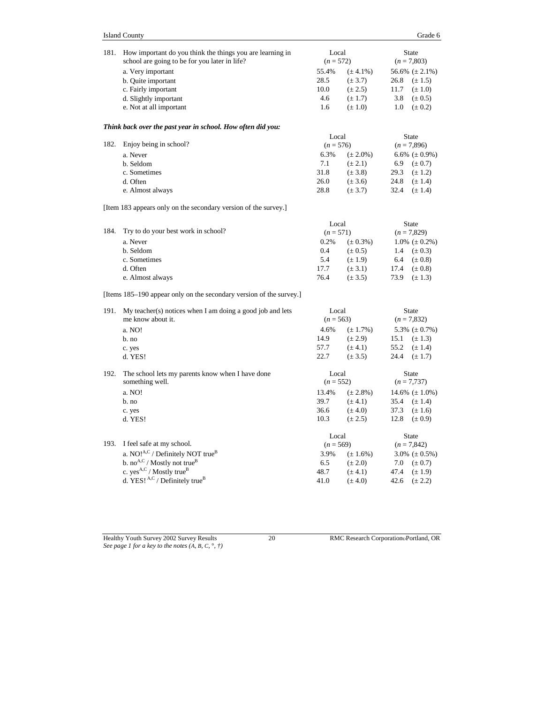| Island County | Grade 6 |
|---------------|---------|
|---------------|---------|

| 181. | How important do you think the things you are learning in           | Local       |               | <b>State</b>        |  |
|------|---------------------------------------------------------------------|-------------|---------------|---------------------|--|
|      | school are going to be for you later in life?                       | $(n = 572)$ |               | $(n = 7,803)$       |  |
|      | a. Very important                                                   | 55.4%       | $(\pm 4.1\%)$ | 56.6% $(\pm 2.1\%)$ |  |
|      | b. Quite important                                                  | 28.5        | $(\pm 3.7)$   | 26.8<br>$(\pm 1.5)$ |  |
|      | c. Fairly important                                                 | 10.0        | $(\pm 2.5)$   | 11.7<br>$(\pm 1.0)$ |  |
|      | d. Slightly important                                               | 4.6         | $(\pm 1.7)$   | 3.8<br>$(\pm 0.5)$  |  |
|      | e. Not at all important                                             | 1.6         | $(\pm 1.0)$   | 1.0<br>$(\pm 0.2)$  |  |
|      | Think back over the past year in school. How often did you:         |             |               |                     |  |
|      |                                                                     | Local       |               | State               |  |
| 182. | Enjoy being in school?                                              | $(n = 576)$ |               | $(n = 7,896)$       |  |
|      | a. Never                                                            | 6.3%        | $(\pm 2.0\%)$ | 6.6% $(\pm 0.9\%)$  |  |
|      | b. Seldom                                                           | 7.1         | $(\pm 2.1)$   | 6.9<br>$(\pm 0.7)$  |  |
|      | c. Sometimes                                                        | 31.8        | $(\pm 3.8)$   | 29.3<br>$(\pm 1.2)$ |  |
|      | d. Often                                                            | 26.0        | $(\pm 3.6)$   | 24.8<br>$(\pm 1.4)$ |  |
|      | e. Almost always                                                    | 28.8        | $(\pm 3.7)$   | 32.4<br>$(\pm 1.4)$ |  |
|      | [Item 183 appears only on the secondary version of the survey.]     |             |               |                     |  |
|      |                                                                     | Local       |               | State               |  |
| 184. | Try to do your best work in school?                                 | $(n = 571)$ |               | $(n = 7,829)$       |  |
|      | a. Never                                                            | 0.2%        | $(\pm 0.3\%)$ | $1.0\%~(\pm 0.2\%)$ |  |
|      | b. Seldom                                                           | 0.4         | $(\pm 0.5)$   | 1.4<br>$(\pm 0.3)$  |  |
|      | c. Sometimes                                                        | 5.4         | $(\pm 1.9)$   | 6.4<br>$(\pm 0.8)$  |  |
|      | d. Often                                                            | 17.7        | $(\pm 3.1)$   | 17.4<br>$(\pm 0.8)$ |  |
|      | e. Almost always                                                    | 76.4        | $(\pm 3.5)$   | 73.9<br>$(\pm 1.3)$ |  |
|      | [Items 185–190 appear only on the secondary version of the survey.] |             |               |                     |  |
| 191. | $My teacher(s)$ notices when I am doing a good job and lets         | Local       |               | State               |  |
|      | me know about it.                                                   | $(n = 563)$ |               | $(n = 7,832)$       |  |
|      | a. NO!                                                              | 4.6%        | $(\pm 1.7\%)$ | 5.3% $(\pm 0.7\%)$  |  |
|      | b. no                                                               | 14.9        | $(\pm 2.9)$   | 15.1<br>$(\pm 1.3)$ |  |
|      | c. yes                                                              | 57.7        | $(\pm 4.1)$   | 55.2<br>$(\pm 1.4)$ |  |
|      | d. YES!                                                             | 22.7        | $(\pm 3.5)$   | 24.4<br>$(\pm 1.7)$ |  |
| 192. | The school lets my parents know when I have done                    | Local       |               | State               |  |
|      | something well.                                                     | $(n = 552)$ |               | $(n = 7, 737)$      |  |
|      | a. NO!                                                              | 13.4%       | $(\pm 2.8\%)$ | 14.6% $(\pm 1.0\%)$ |  |
|      | b. no                                                               | 39.7        | $(\pm 4.1)$   | 35.4<br>$(\pm 1.4)$ |  |
|      | c. yes                                                              | 36.6        | $(\pm 4.0)$   | 37.3<br>$(\pm 1.6)$ |  |
|      | d. YES!                                                             | 10.3        | $(\pm 2.5)$   | 12.8<br>$(\pm 0.9)$ |  |
|      |                                                                     | Local       |               | State               |  |
| 193. | I feel safe at my school.                                           | $(n = 569)$ |               | $(n = 7,842)$       |  |
|      | a. NO! <sup>A,C</sup> / Definitely NOT true <sup>B</sup>            | 3.9%        | $(\pm 1.6\%)$ | 3.0% $(\pm 0.5\%)$  |  |
|      | b. no <sup>A,C</sup> / Mostly not true <sup>B</sup>                 | 6.5         | $(\pm 2.0)$   | 7.0<br>$(\pm 0.7)$  |  |
|      | c. yes <sup>A,C</sup> / Mostly true <sup>B</sup>                    | 48.7        | $(\pm 4.1)$   | 47.4<br>$(\pm 1.9)$ |  |

c. yes<sup>A,C</sup> / Mostly true<sup>B</sup>

d. YES! <sup>A,C</sup> / Definitely true<sup>B</sup>

Healthy Youth Survey 2002 Survey Results 20 RMC Research Corporation Portland, OR

41.0  $(\pm 4.0)$  42.6  $(\pm 2.2)$ 

47.4  $(\pm 1.9)$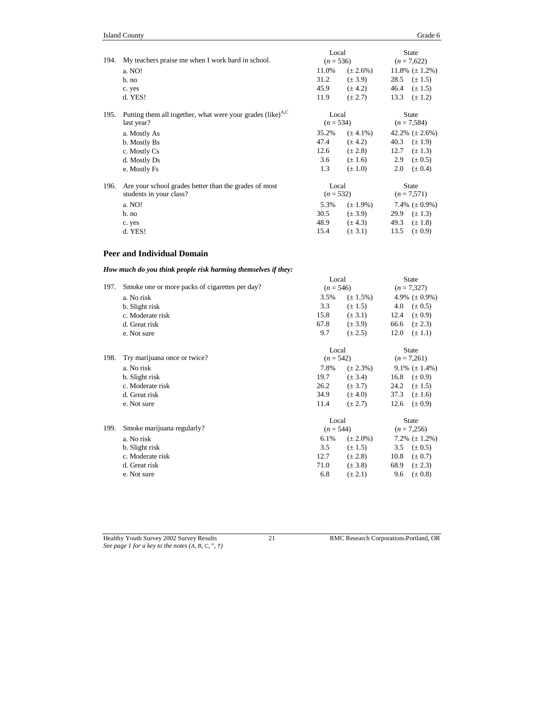| 194. | My teachers praise me when I work hard in school.                                    | Local<br>$(n = 536)$ |               | <b>State</b><br>$(n = 7,622)$ |  |
|------|--------------------------------------------------------------------------------------|----------------------|---------------|-------------------------------|--|
|      | a. NO!                                                                               | 11.0%                | $(\pm 2.6\%)$ | 11.8% $(\pm 1.2\%)$           |  |
|      | b. no                                                                                | 31.2                 | $(\pm 3.9)$   | 28.5<br>$(\pm 1.5)$           |  |
|      | c. yes                                                                               | 45.9                 | $(\pm 4.2)$   | 46.4<br>$(\pm 1.5)$           |  |
|      | d. YES!                                                                              | 11.9                 | $(\pm 2.7)$   | 13.3<br>$(\pm 1.2)$           |  |
| 195. | Putting them all together, what were your grades (like) <sup>A,C</sup><br>last year? | Local<br>$(n = 534)$ |               | <b>State</b><br>$(n = 7,584)$ |  |
|      | a. Mostly As                                                                         | 35.2%                | $(\pm 4.1\%)$ | 42.2% $(\pm 2.6\%)$           |  |
|      | b. Mostly Bs                                                                         | 47.4                 | $(\pm 4.2)$   | 40.3<br>$(\pm 1.9)$           |  |
|      | c. Mostly Cs                                                                         | 12.6                 | $(\pm 2.8)$   | 12.7<br>$(\pm 1.3)$           |  |
|      | d. Mostly Ds                                                                         | 3.6                  | $(\pm 1.6)$   | $(\pm 0.5)$<br>2.9            |  |
|      | e. Mostly Fs                                                                         | 1.3                  | $(\pm 1.0)$   | 2.0<br>$(\pm 0.4)$            |  |
| 196. | Are your school grades better than the grades of most<br>students in your class?     | Local<br>$(n = 532)$ |               | <b>State</b><br>$(n = 7,571)$ |  |
|      | a. NO!                                                                               | 5.3%                 | $(\pm 1.9\%)$ | 7.4% $(\pm 0.9\%)$            |  |
|      | $b$ . no                                                                             | 30.5                 | $(\pm 3.9)$   | 29.9<br>$(\pm 1.3)$           |  |
|      | c. yes                                                                               | 48.9                 | $(\pm 4.3)$   | 49.3<br>$(\pm 1.8)$           |  |
|      | d. YES!                                                                              | 15.4                 | $(\pm 3.1)$   | 13.5<br>$(\pm 0.9)$           |  |

### **Peer and Individual Domain**

### *How much do you think people risk harming themselves if they:*

| a. No risk<br>3.5%<br>4.9% $(\pm 0.9\%)$<br>$(\pm 1.5\%)$<br>3.3<br>4.0<br>$(\pm 1.5)$<br>$(\pm 0.5)$<br>b. Slight risk<br>15.8<br>12.4<br>$(\pm 0.9)$<br>c. Moderate risk<br>$(\pm 3.1)$<br>67.8<br>d. Great risk<br>$(\pm 3.9)$<br>66.6<br>$(\pm 2.3)$<br>9.7<br>$(\pm 2.5)$<br>12.0<br>$(\pm 1.1)$<br>e. Not sure<br><b>State</b><br>Local<br>198.<br>Try marijuana once or twice?<br>$(n = 542)$<br>$(n = 7,261)$<br>7.8%<br>9.1% $(\pm 1.4\%)$<br>$(\pm 2.3\%)$<br>a. No risk<br>19.7<br>$(\pm 0.9)$<br>$(\pm 3.4)$<br>16.8<br>b. Slight risk<br>26.2<br>24.2<br>c. Moderate risk<br>$(\pm 3.7)$<br>$(\pm 1.5)$<br>34.9<br>37.3<br>$(\pm 4.0)$<br>$(\pm 1.6)$<br>d. Great risk<br>11.4<br>$(\pm 2.7)$<br>12.6<br>$(\pm 0.9)$<br>e. Not sure<br>Local<br><b>State</b><br>Smoke marijuana regularly?<br>199.<br>$(n = 7,256)$<br>$(n = 544)$<br>6.1%<br>7.2% $(\pm 1.2\%)$<br>a. No risk<br>$(\pm 2.0\%)$<br>3.5<br>$(\pm 1.5)$<br>3.5<br>$(\pm 0.5)$<br>b. Slight risk | 197. | Smoke one or more packs of cigarettes per day? |      | Local<br>$(n = 546)$ |      | <b>State</b><br>$(n = 7,327)$ |
|----------------------------------------------------------------------------------------------------------------------------------------------------------------------------------------------------------------------------------------------------------------------------------------------------------------------------------------------------------------------------------------------------------------------------------------------------------------------------------------------------------------------------------------------------------------------------------------------------------------------------------------------------------------------------------------------------------------------------------------------------------------------------------------------------------------------------------------------------------------------------------------------------------------------------------------------------------------------------|------|------------------------------------------------|------|----------------------|------|-------------------------------|
|                                                                                                                                                                                                                                                                                                                                                                                                                                                                                                                                                                                                                                                                                                                                                                                                                                                                                                                                                                            |      |                                                |      |                      |      |                               |
|                                                                                                                                                                                                                                                                                                                                                                                                                                                                                                                                                                                                                                                                                                                                                                                                                                                                                                                                                                            |      |                                                |      |                      |      |                               |
|                                                                                                                                                                                                                                                                                                                                                                                                                                                                                                                                                                                                                                                                                                                                                                                                                                                                                                                                                                            |      |                                                |      |                      |      |                               |
|                                                                                                                                                                                                                                                                                                                                                                                                                                                                                                                                                                                                                                                                                                                                                                                                                                                                                                                                                                            |      |                                                |      |                      |      |                               |
|                                                                                                                                                                                                                                                                                                                                                                                                                                                                                                                                                                                                                                                                                                                                                                                                                                                                                                                                                                            |      |                                                |      |                      |      |                               |
|                                                                                                                                                                                                                                                                                                                                                                                                                                                                                                                                                                                                                                                                                                                                                                                                                                                                                                                                                                            |      |                                                |      |                      |      |                               |
|                                                                                                                                                                                                                                                                                                                                                                                                                                                                                                                                                                                                                                                                                                                                                                                                                                                                                                                                                                            |      |                                                |      |                      |      |                               |
|                                                                                                                                                                                                                                                                                                                                                                                                                                                                                                                                                                                                                                                                                                                                                                                                                                                                                                                                                                            |      |                                                |      |                      |      |                               |
|                                                                                                                                                                                                                                                                                                                                                                                                                                                                                                                                                                                                                                                                                                                                                                                                                                                                                                                                                                            |      |                                                |      |                      |      |                               |
|                                                                                                                                                                                                                                                                                                                                                                                                                                                                                                                                                                                                                                                                                                                                                                                                                                                                                                                                                                            |      |                                                |      |                      |      |                               |
|                                                                                                                                                                                                                                                                                                                                                                                                                                                                                                                                                                                                                                                                                                                                                                                                                                                                                                                                                                            |      |                                                |      |                      |      |                               |
|                                                                                                                                                                                                                                                                                                                                                                                                                                                                                                                                                                                                                                                                                                                                                                                                                                                                                                                                                                            |      |                                                |      |                      |      |                               |
|                                                                                                                                                                                                                                                                                                                                                                                                                                                                                                                                                                                                                                                                                                                                                                                                                                                                                                                                                                            |      |                                                |      |                      |      |                               |
|                                                                                                                                                                                                                                                                                                                                                                                                                                                                                                                                                                                                                                                                                                                                                                                                                                                                                                                                                                            |      |                                                |      |                      |      |                               |
|                                                                                                                                                                                                                                                                                                                                                                                                                                                                                                                                                                                                                                                                                                                                                                                                                                                                                                                                                                            |      |                                                |      |                      |      |                               |
|                                                                                                                                                                                                                                                                                                                                                                                                                                                                                                                                                                                                                                                                                                                                                                                                                                                                                                                                                                            |      |                                                |      |                      |      |                               |
|                                                                                                                                                                                                                                                                                                                                                                                                                                                                                                                                                                                                                                                                                                                                                                                                                                                                                                                                                                            |      | c. Moderate risk                               | 12.7 | $(\pm 2.8)$          | 10.8 | $(\pm 0.7)$                   |
| 71.0<br>$(\pm 2.3)$<br>$(\pm 3.8)$<br>68.9<br>d. Great risk                                                                                                                                                                                                                                                                                                                                                                                                                                                                                                                                                                                                                                                                                                                                                                                                                                                                                                                |      |                                                |      |                      |      |                               |
| 6.8<br>$(\pm 2.1)$<br>9.6<br>$(\pm 0.8)$<br>e. Not sure                                                                                                                                                                                                                                                                                                                                                                                                                                                                                                                                                                                                                                                                                                                                                                                                                                                                                                                    |      |                                                |      |                      |      |                               |

*See page 1 for a key to the notes (A, B, C,* °*, †)*

Healthy Youth Survey 2002 Survey Results 21 RMC Research CorporationPortland, OR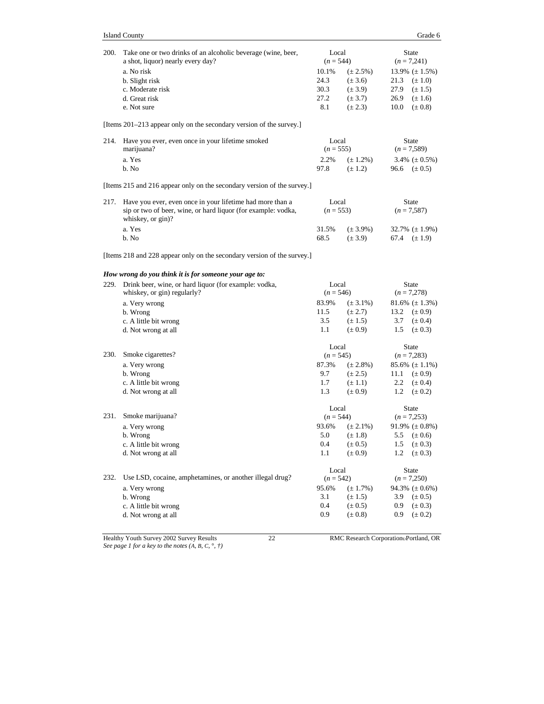| 200. | Take one or two drinks of an alcoholic beverage (wine, beer,<br>a shot, liquor) nearly every day?<br>a. No risk<br>b. Slight risk<br>c. Moderate risk<br>d. Great risk<br>e. Not sure | Local<br>$(n = 544)$<br>10.1%<br>24.3<br>30.3<br>27.2<br>8.1 | $(\pm 2.5\%)$<br>$(\pm 3.6)$<br>$(\pm 3.9)$<br>$(\pm 3.7)$<br>$(\pm 2.3)$ | 21.3<br>27.9<br>26.9<br>10.0  | <b>State</b><br>$(n = 7,241)$<br>13.9% $(\pm 1.5\%)$<br>$(\pm 1.0)$<br>$(\pm 1.5)$<br>$(\pm 1.6)$<br>$(\pm 0.8)$ |
|------|---------------------------------------------------------------------------------------------------------------------------------------------------------------------------------------|--------------------------------------------------------------|---------------------------------------------------------------------------|-------------------------------|------------------------------------------------------------------------------------------------------------------|
|      | [Items 201–213 appear only on the secondary version of the survey.]                                                                                                                   |                                                              |                                                                           |                               |                                                                                                                  |
| 214. | Have you ever, even once in your lifetime smoked<br>marijuana?<br>a. Yes<br>b. No                                                                                                     | Local<br>$(n = 555)$<br>2.2%<br>97.8                         | $(\pm 1.2\%)$<br>$(\pm 1.2)$                                              | 96.6                          | <b>State</b><br>$(n = 7,589)$<br>3.4% $(\pm 0.5\%)$<br>$(\pm 0.5)$                                               |
|      | [Items 215 and 216 appear only on the secondary version of the survey.]                                                                                                               |                                                              |                                                                           |                               |                                                                                                                  |
| 217. | Have you ever, even once in your lifetime had more than a<br>sip or two of beer, wine, or hard liquor (for example: vodka,<br>whiskey, or gin)?                                       | Local<br>$(n = 553)$                                         |                                                                           |                               | <b>State</b><br>$(n = 7,587)$                                                                                    |
|      | a. Yes<br>b. No                                                                                                                                                                       | 31.5%<br>68.5                                                | $(\pm 3.9\%)$<br>$(\pm 3.9)$                                              | 67.4                          | $32.7\%~(\pm 1.9\%)$<br>$(\pm 1.9)$                                                                              |
|      | [Items 218 and 228 appear only on the secondary version of the survey.]                                                                                                               |                                                              |                                                                           |                               |                                                                                                                  |
|      | How wrong do you think it is for someone your age to:                                                                                                                                 |                                                              |                                                                           |                               |                                                                                                                  |
| 229. | Drink beer, wine, or hard liquor (for example: vodka,<br>whiskey, or gin) regularly?                                                                                                  | Local<br>$(n = 546)$                                         |                                                                           | <b>State</b><br>$(n = 7,278)$ |                                                                                                                  |
|      | a. Very wrong<br>b. Wrong<br>c. A little bit wrong<br>d. Not wrong at all                                                                                                             | 83.9%<br>11.5<br>3.5<br>1.1                                  | $(\pm 3.1\%)$<br>$(\pm 2.7)$<br>$(\pm 1.5)$<br>$(\pm 0.9)$                | 13.2<br>3.7<br>1.5            | $81.6\%~(\pm 1.3\%)$<br>$(\pm 0.9)$<br>$(\pm 0.4)$<br>$(\pm 0.3)$                                                |
|      |                                                                                                                                                                                       | Local                                                        |                                                                           |                               | <b>State</b>                                                                                                     |
| 230. | Smoke cigarettes?<br>a. Very wrong<br>b. Wrong<br>c. A little bit wrong<br>d. Not wrong at all                                                                                        | $(n = 545)$<br>87.3%<br>9.7<br>1.7<br>1.3                    | $(\pm 2.8\%)$<br>$(\pm 2.5)$<br>$(\pm 1.1)$<br>$(\pm 0.9)$                | 11.1<br>2.2<br>1.2            | $(n = 7,283)$<br>$85.6\%~(\pm 1.1\%)$<br>$(\pm 0.9)$<br>$(\pm 0.4)$<br>$(\pm 0.2)$                               |
|      |                                                                                                                                                                                       | Local                                                        |                                                                           |                               | <b>State</b>                                                                                                     |
| 231. | Smoke marijuana?<br>a. Very wrong<br>b. Wrong<br>c. A little bit wrong<br>d. Not wrong at all                                                                                         | $(n = 544)$<br>93.6%<br>5.0<br>0.4<br>$1.1\,$                | $(\pm 2.1\%)$<br>$(\pm 1.8)$<br>$(\pm 0.5)$<br>$(\pm 0.9)$                | 5.5<br>1.5<br>1.2             | $(n = 7,253)$<br>91.9% $(\pm 0.8\%)$<br>$(\pm 0.6)$<br>$(\pm 0.3)$<br>$(\pm 0.3)$                                |
|      |                                                                                                                                                                                       | Local                                                        |                                                                           |                               | State                                                                                                            |
| 232. | Use LSD, cocaine, amphetamines, or another illegal drug?<br>a. Very wrong<br>b. Wrong<br>c. A little bit wrong<br>d. Not wrong at all                                                 | $(n = 542)$<br>95.6%<br>3.1<br>0.4<br>0.9                    | $(\pm 1.7\%)$<br>$(\pm 1.5)$<br>$(\pm 0.5)$<br>$(\pm 0.8)$                | 3.9<br>0.9<br>0.9             | $(n = 7,250)$<br>94.3% $(\pm 0.6\%)$<br>$(\pm 0.5)$<br>$(\pm 0.3)$<br>$(\pm 0.2)$                                |

Healthy Youth Survey 2002 Survey Results 22 RMC Research CorporationPortland, OR *See page 1 for a key to the notes (A, B, C,* °*, †)*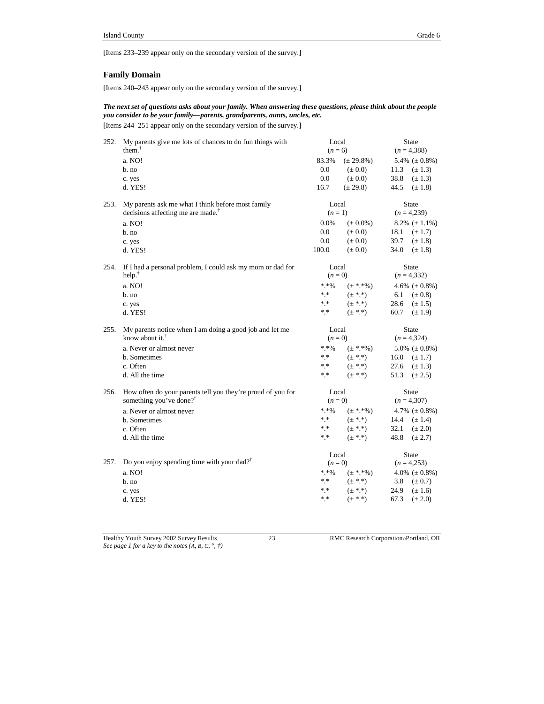[Items 233–239 appear only on the secondary version of the survey.]

#### **Family Domain**

[Items 240–243 appear only on the secondary version of the survey.]

### *The next set of questions asks about your family. When answering these questions, please think about the people you consider to be your family—parents, grandparents, aunts, uncles, etc.*

[Items 244–251 appear only on the secondary version of the survey.]

| 252. | My parents give me lots of chances to do fun things with<br>them. $T$ | Local<br>$(n = 6)$ |                            | <b>State</b><br>$(n=4,388)$ |                            |  |
|------|-----------------------------------------------------------------------|--------------------|----------------------------|-----------------------------|----------------------------|--|
|      | a. NO!                                                                | 83.3%              | $(\pm 29.8\%)$             |                             | 5.4% $(\pm 0.8\%)$         |  |
|      | $b$ . no                                                              | 0.0                | $(\pm 0.0)$                | 11.3                        | $(\pm 1.3)$                |  |
|      | c. yes                                                                | 0.0                | $(\pm 0.0)$                | 38.8                        | $(\pm 1.3)$                |  |
|      | d. YES!                                                               | 16.7               | $(\pm 29.8)$               | 44.5                        | $(\pm 1.8)$                |  |
| 253. | My parents ask me what I think before most family                     | Local              |                            |                             | <b>State</b>               |  |
|      | decisions affecting me are made. <sup>†</sup>                         | $(n=1)$            |                            |                             | $(n = 4,239)$              |  |
|      | a. NO!                                                                | $0.0\%$            | $(\pm 0.0\%)$              |                             | 8.2% $(\pm 1.1\%)$         |  |
|      | b. no                                                                 | 0.0                | $(\pm 0.0)$                | 18.1                        | $(\pm 1.7)$                |  |
|      | c. yes                                                                | 0.0                | $(\pm 0.0)$                | 39.7                        | $(\pm 1.8)$                |  |
|      | d. YES!                                                               | 100.0              | $(\pm 0.0)$                | 34.0                        | $(\pm 1.8)$                |  |
| 254. | If I had a personal problem, I could ask my mom or dad for            | Local              |                            |                             | State                      |  |
|      | help. <sup>†</sup>                                                    | $(n=0)$            |                            |                             | $(n=4,332)$                |  |
|      | a. NO!                                                                | $* * 96$           | $(\pm$ *.*%)               |                             | 4.6% $(\pm 0.8\%)$         |  |
|      | b. no                                                                 | $* *$              | $(\pm$ *.*)                | 6.1                         | $(\pm 0.8)$                |  |
|      | c. yes                                                                | * *                | $(\pm$ *.*)                |                             | 28.6 $(\pm 1.5)$           |  |
|      | d. YES!                                                               | * *                | $(\pm$ *.*)                | 60.7                        | $(\pm 1.9)$                |  |
| 255. | My parents notice when I am doing a good job and let me               | Local              |                            |                             | <b>State</b>               |  |
|      | know about it. $†$                                                    | $(n=0)$            |                            |                             | $(n = 4,324)$              |  |
|      | a. Never or almost never                                              | $*.*\%$            | $(\pm$ *.*%)               |                             | 5.0% ( $\pm$ 0.8%)         |  |
|      |                                                                       |                    |                            |                             |                            |  |
|      | b. Sometimes                                                          | $\ast$ $\ast$      | $(\pm$ *.*)                | 16.0 $(\pm 1.7)$            |                            |  |
|      | c. Often                                                              | $* *$              | $(\pm$ * *)                | 27.6                        | $(\pm 1.3)$                |  |
|      | d. All the time                                                       | * *                | $(\pm$ * *)                | 51.3                        | $(\pm 2.5)$                |  |
| 256. | How often do your parents tell you they're proud of you for           | Local              |                            |                             | <b>State</b>               |  |
|      | something you've done? <sup>†</sup>                                   | $(n=0)$            |                            |                             | $(n = 4,307)$              |  |
|      | a. Never or almost never                                              | $*.*\%$            | $(\pm$ *.*%)               |                             | 4.7% $(\pm 0.8\%)$         |  |
|      | b. Sometimes                                                          | * *                | $(\pm * * )$               |                             | 14.4 $(\pm 1.4)$           |  |
|      | c. Often                                                              | * *                | $(\pm$ * *)                | 32.1                        | $(\pm 2.0)$                |  |
|      | d. All the time                                                       | * *                | $(\pm$ * *)                | 48.8                        | $(\pm 2.7)$                |  |
|      |                                                                       | Local              |                            |                             | State                      |  |
| 257. | Do you enjoy spending time with your dad? <sup>†</sup>                | $(n=0)$            |                            |                             | $(n = 4,253)$              |  |
|      | a. NO!                                                                | $*$ * %            | $(\pm$ *.*%)               |                             | 4.0% $(\pm 0.8\%)$         |  |
|      | b. no                                                                 | $\ast\ast$         | $(\pm$ * *)                | 3.8                         | $(\pm 0.7)$                |  |
|      | c. yes<br>d. YES!                                                     | $* *$<br>* *       | $(\pm$ * *)<br>$(\pm$ * *) | 24.9<br>67.3                | $(\pm 1.6)$<br>$(\pm 2.0)$ |  |

Healthy Youth Survey 2002 Survey Results 23 RMC Research Corporation Portland, OR *See page 1 for a key to the notes (A, B, C,* °*, †)*